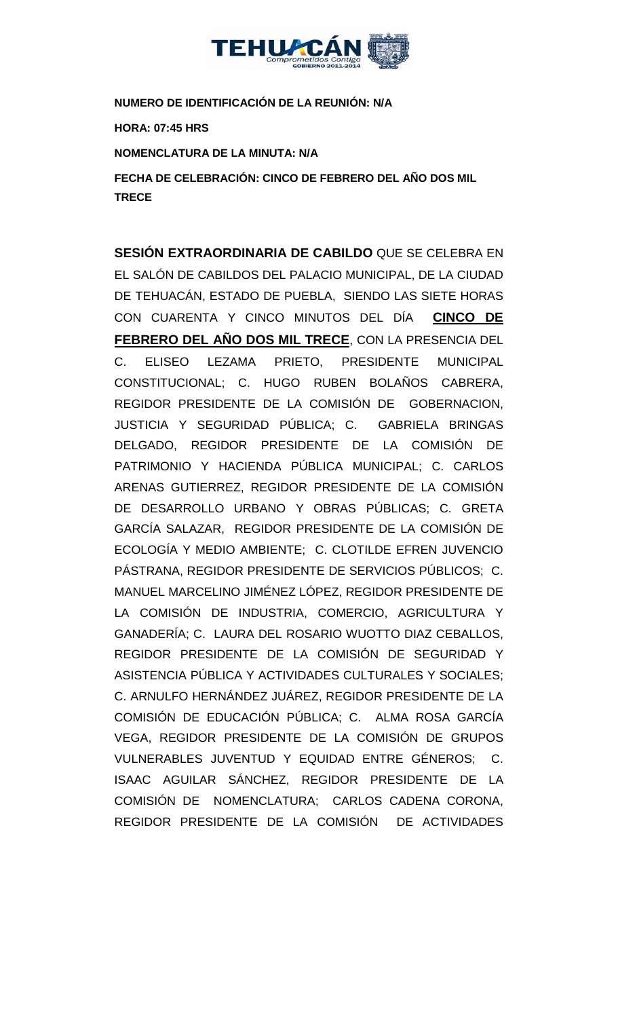

# **NUMERO DE IDENTIFICACIÓN DE LA REUNIÓN: N/A**

**HORA: 07:45 HRS**

## **NOMENCLATURA DE LA MINUTA: N/A**

**FECHA DE CELEBRACIÓN: CINCO DE FEBRERO DEL AÑO DOS MIL TRECE** 

**SESIÓN EXTRAORDINARIA DE CABILDO** QUE SE CELEBRA EN EL SALÓN DE CABILDOS DEL PALACIO MUNICIPAL, DE LA CIUDAD DE TEHUACÁN, ESTADO DE PUEBLA, SIENDO LAS SIETE HORAS CON CUARENTA Y CINCO MINUTOS DEL DÍA **CINCO DE FEBRERO DEL AÑO DOS MIL TRECE**, CON LA PRESENCIA DEL C. ELISEO LEZAMA PRIETO, PRESIDENTE MUNICIPAL CONSTITUCIONAL; C. HUGO RUBEN BOLAÑOS CABRERA, REGIDOR PRESIDENTE DE LA COMISIÓN DE GOBERNACION, JUSTICIA Y SEGURIDAD PÚBLICA; C. GABRIELA BRINGAS DELGADO, REGIDOR PRESIDENTE DE LA COMISIÓN DE PATRIMONIO Y HACIENDA PÚBLICA MUNICIPAL; C. CARLOS ARENAS GUTIERREZ, REGIDOR PRESIDENTE DE LA COMISIÓN DE DESARROLLO URBANO Y OBRAS PÚBLICAS; C. GRETA GARCÍA SALAZAR, REGIDOR PRESIDENTE DE LA COMISIÓN DE ECOLOGÍA Y MEDIO AMBIENTE; C. CLOTILDE EFREN JUVENCIO PÁSTRANA, REGIDOR PRESIDENTE DE SERVICIOS PÚBLICOS; C. MANUEL MARCELINO JIMÉNEZ LÓPEZ, REGIDOR PRESIDENTE DE LA COMISIÓN DE INDUSTRIA, COMERCIO, AGRICULTURA Y GANADERÍA; C. LAURA DEL ROSARIO WUOTTO DIAZ CEBALLOS, REGIDOR PRESIDENTE DE LA COMISIÓN DE SEGURIDAD Y ASISTENCIA PÚBLICA Y ACTIVIDADES CULTURALES Y SOCIALES; C. ARNULFO HERNÁNDEZ JUÁREZ, REGIDOR PRESIDENTE DE LA COMISIÓN DE EDUCACIÓN PÚBLICA; C. ALMA ROSA GARCÍA VEGA, REGIDOR PRESIDENTE DE LA COMISIÓN DE GRUPOS VULNERABLES JUVENTUD Y EQUIDAD ENTRE GÉNEROS; C. ISAAC AGUILAR SÁNCHEZ, REGIDOR PRESIDENTE DE LA COMISIÓN DE NOMENCLATURA; CARLOS CADENA CORONA, REGIDOR PRESIDENTE DE LA COMISIÓN DE ACTIVIDADES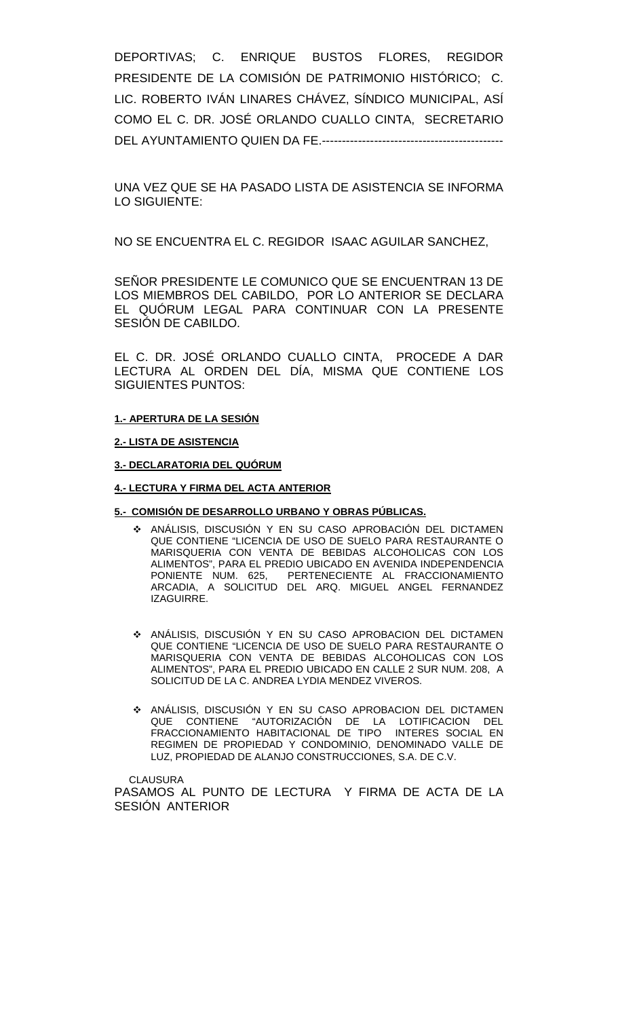DEPORTIVAS; C. ENRIQUE BUSTOS FLORES, REGIDOR PRESIDENTE DE LA COMISIÓN DE PATRIMONIO HISTÓRICO; C. LIC. ROBERTO IVÁN LINARES CHÁVEZ, SÍNDICO MUNICIPAL, ASÍ COMO EL C. DR. JOSÉ ORLANDO CUALLO CINTA, SECRETARIO DEL AYUNTAMIENTO QUIEN DA FE.---------------------------------------------

UNA VEZ QUE SE HA PASADO LISTA DE ASISTENCIA SE INFORMA LO SIGUIENTE:

NO SE ENCUENTRA EL C. REGIDOR ISAAC AGUILAR SANCHEZ,

SEÑOR PRESIDENTE LE COMUNICO QUE SE ENCUENTRAN 13 DE LOS MIEMBROS DEL CABILDO, POR LO ANTERIOR SE DECLARA EL QUÓRUM LEGAL PARA CONTINUAR CON LA PRESENTE SESIÓN DE CABILDO.

EL C. DR. JOSÉ ORLANDO CUALLO CINTA, PROCEDE A DAR LECTURA AL ORDEN DEL DÍA, MISMA QUE CONTIENE LOS SIGUIENTES PUNTOS:

### **1.- APERTURA DE LA SESIÓN**

**2.- LISTA DE ASISTENCIA**

**3.- DECLARATORIA DEL QUÓRUM**

**4.- LECTURA Y FIRMA DEL ACTA ANTERIOR**

#### **5.- COMISIÓN DE DESARROLLO URBANO Y OBRAS PÚBLICAS.**

- ANÁLISIS, DISCUSIÓN Y EN SU CASO APROBACIÓN DEL DICTAMEN QUE CONTIENE "LICENCIA DE USO DE SUELO PARA RESTAURANTE O MARISQUERIA CON VENTA DE BEBIDAS ALCOHOLICAS CON LOS ALIMENTOS", PARA EL PREDIO UBICADO EN AVENIDA INDEPENDENCIA PONIENTE NUM. 625, PERTENECIENTE AL FRACCIONAMIENTO ARCADIA, A SOLICITUD DEL ARQ. MIGUEL ANGEL FERNANDEZ IZAGUIRRE.
- ANÁLISIS, DISCUSIÓN Y EN SU CASO APROBACION DEL DICTAMEN QUE CONTIENE "LICENCIA DE USO DE SUELO PARA RESTAURANTE O MARISQUERIA CON VENTA DE BEBIDAS ALCOHOLICAS CON LOS ALIMENTOS", PARA EL PREDIO UBICADO EN CALLE 2 SUR NUM. 208, A SOLICITUD DE LA C. ANDREA LYDIA MENDEZ VIVEROS.
- ANÁLISIS, DISCUSIÓN Y EN SU CASO APROBACION DEL DICTAMEN QUE CONTIENE "AUTORIZACIÓN DE LA LOTIFICACION DEL FRACCIONAMIENTO HABITACIONAL DE TIPO INTERES SOCIAL EN REGIMEN DE PROPIEDAD Y CONDOMINIO, DENOMINADO VALLE DE LUZ, PROPIEDAD DE ALANJO CONSTRUCCIONES, S.A. DE C.V.

CLAUSURA

PASAMOS AL PUNTO DE LECTURA Y FIRMA DE ACTA DE LA SESIÓN ANTERIOR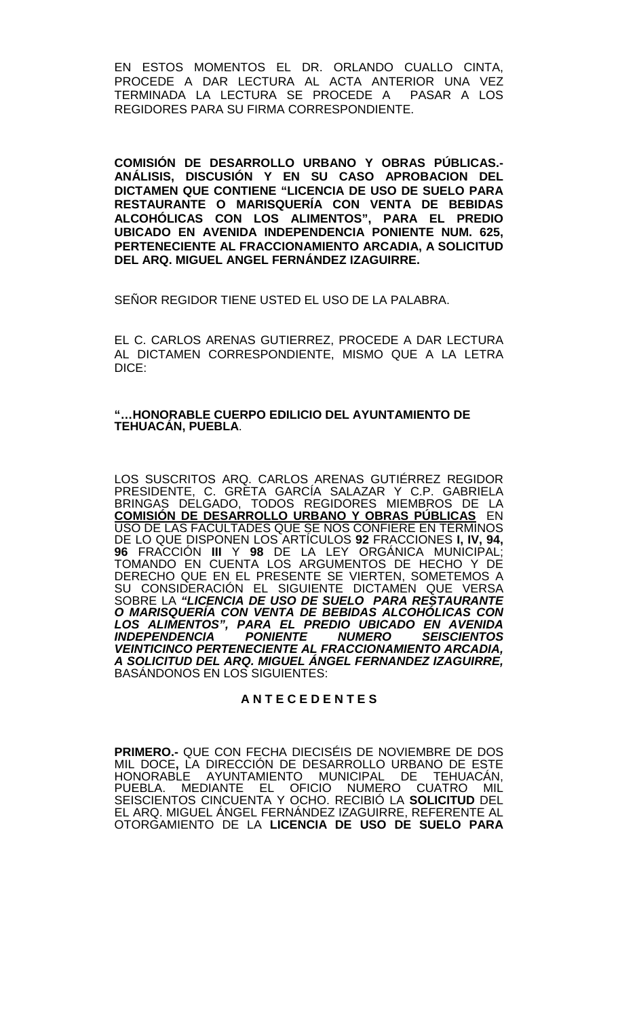EN ESTOS MOMENTOS EL DR. ORLANDO CUALLO CINTA, PROCEDE A DAR LECTURA AL ACTA ANTERIOR UNA VEZ TERMINADA LA LECTURA SE PROCEDE A PASAR A LOS REGIDORES PARA SU FIRMA CORRESPONDIENTE.

**COMISIÓN DE DESARROLLO URBANO Y OBRAS PÚBLICAS.- ANÁLISIS, DISCUSIÓN Y EN SU CASO APROBACION DEL DICTAMEN QUE CONTIENE "LICENCIA DE USO DE SUELO PARA RESTAURANTE O MARISQUERÍA CON VENTA DE BEBIDAS ALCOHÓLICAS CON LOS ALIMENTOS", PARA EL PREDIO UBICADO EN AVENIDA INDEPENDENCIA PONIENTE NUM. 625, PERTENECIENTE AL FRACCIONAMIENTO ARCADIA, A SOLICITUD DEL ARQ. MIGUEL ANGEL FERNÁNDEZ IZAGUIRRE.**

SEÑOR REGIDOR TIENE USTED EL USO DE LA PALABRA.

EL C. CARLOS ARENAS GUTIERREZ, PROCEDE A DAR LECTURA AL DICTAMEN CORRESPONDIENTE, MISMO QUE A LA LETRA DICE:

### **"…HONORABLE CUERPO EDILICIO DEL AYUNTAMIENTO DE TEHUACÁN, PUEBLA**.

LOS SUSCRITOS ARQ. CARLOS ARENAS GUTIÉRREZ REGIDOR PRESIDENTE, C. GRETA GARCÍA SALAZAR Y C.P. GABRIELA BRINGAS DELGADO, TODOS REGIDORES MIEMBROS DE LA **COMISIÓN DE DESARROLLO URBANO Y OBRAS PÚBLICAS** EN USO DE LAS FACULTADES QUE SE NOS CONFIERE EN TÉRMINOS DE LO QUE DISPONEN LOS ARTÍCULOS **92** FRACCIONES **I, IV, 94, 96** FRACCIÓN **III** Y **98** DE LA LEY ORGÁNICA MUNICIPAL; TOMANDO EN CUENTA LOS ARGUMENTOS DE HECHO Y DE DERECHO QUE EN EL PRESENTE SE VIERTEN, SOMETEMOS A SU CONSIDERACIÓN EL SIGUIENTE DICTAMEN QUE VERSA SOBRE LA *"LICENCIA DE USO DE SUELO PARA RESTAURANTE O MARISQUERÍA CON VENTA DE BEBIDAS ALCOHÓLICAS CON LOS ALIMENTOS", PARA EL PREDIO UBICADO EN AVENIDA INDEPENDENCIA PONIENTE NUMERO SEISCIENTOS VEINTICINCO PERTENECIENTE AL FRACCIONAMIENTO ARCADIA, A SOLICITUD DEL ARQ. MIGUEL ÁNGEL FERNANDEZ IZAGUIRRE,*  BASÁNDONOS EN LOS SIGUIENTES:

## **A N T E C E D E N T E S**

**PRIMERO.-** QUE CON FECHA DIECISÉIS DE NOVIEMBRE DE DOS MIL DOCE**,** LA DIRECCIÓN DE DESARROLLO URBANO DE ESTE HONORABLE AYUNTAMIENTO MUNICIPAL DE TEHUACÁN, PUEBLA. MEDIANTE EL OFICIO NUMERO CUATRO MIL SEISCIENTOS CINCUENTA Y OCHO. RECIBIÓ LA **SOLICITUD** DEL EL ARQ. MIGUEL ÁNGEL FERNÁNDEZ IZAGUIRRE, REFERENTE AL OTORGAMIENTO DE LA **LICENCIA DE USO DE SUELO PARA**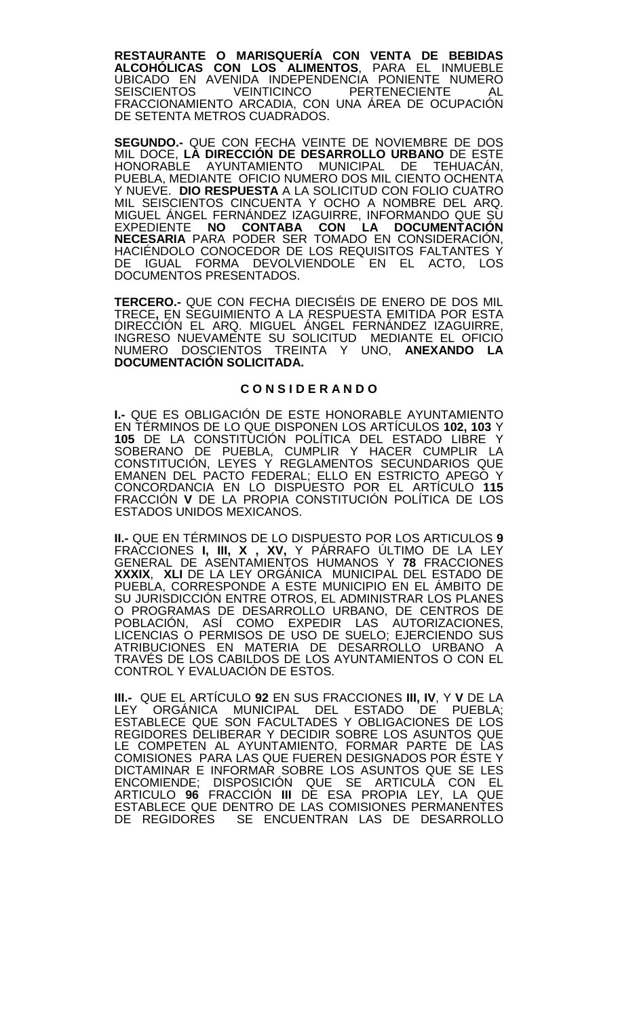**RESTAURANTE O MARISQUERÍA CON VENTA DE BEBIDAS ALCOHÓLICAS CON LOS ALIMENTOS**, PARA EL INMUEBLE UBICADO EN AVENIDA INDEPENDENCIA PONIENTE NUMERO SEISCIENTOS VEINTICINCO PERTENECIENTE AL FRACCIONAMIENTO ARCADIA, CON UNA ÁREA DE OCUPACIÓN DE SETENTA METROS CUADRÁDOS.

**SEGUNDO.-** QUE CON FECHA VEINTE DE NOVIEMBRE DE DOS MIL DOCE, **LA DIRECCIÓN DE DESARROLLO URBANO** DE ESTE HONORABLE AYUNTAMIENTO MUNICIPAL DE TEHUACÁN, PUEBLA, MEDIANTE OFICIO NUMERO DOS MIL CIENTO OCHENTA Y NUEVE. **DIO RESPUESTA** A LA SOLICITUD CON FOLIO CUATRO MIL SEISCIENTOS CINCUENTA Y OCHO A NOMBRE DEL ARQ. MIGUEL ÁNGEL FERNÁNDEZ IZAGUIRRE, INFORMANDO QUE SU EXPEDIENTE **NO CONTABA CON LA DOCUMENTACIÓN NECESARIA** PARA PODER SER TOMADO EN CONSIDERACIÓN, HACIÉNDOLO CONOCEDOR DE LOS REQUISITOS FALTANTES Y DE IGUAL FORMA DEVOLVIENDOLE EN EL ACTO, LOS DOCUMENTOS PRESENTADOS.

**TERCERO.-** QUE CON FECHA DIECISÉIS DE ENERO DE DOS MIL TRECE**,** EN SEGUIMIENTO A LA RESPUESTA EMITIDA POR ESTA DIRECCIÓN EL ARQ. MIGUEL ÁNGEL FERNÁNDEZ IZAGUIRRE, INGRESO NUEVAMENTE SU SOLICITUD MEDIANTE EL OFICIO NUMERO DOSCIENTOS TREINTA Y UNO, **ANEXANDO LA DOCUMENTACIÓN SOLICITADA.**

## **C O N S I D E R A N D O**

**I.-** QUE ES OBLIGACIÓN DE ESTE HONORABLE AYUNTAMIENTO EN TÉRMINOS DE LO QUE DISPONEN LOS ARTÍCULOS **102, 103** Y **105** DE LA CONSTITUCIÓN POLÍTICA DEL ESTADO LIBRE Y SOBERANO DE PUEBLA, CUMPLIR Y HACER CUMPLIR LA CONSTITUCIÓN, LEYES Y REGLAMENTOS SECUNDARIOS QUE EMANEN DEL PACTO FEDERAL; ELLO EN ESTRICTO APEGO Y CONCORDANCIA EN LO DISPUESTO POR EL ARTÍCULO **115**  FRACCIÓN **V** DE LA PROPIA CONSTITUCIÓN POLÍTICA DE LOS ESTADOS UNIDOS MEXICANOS.

**II.-** QUE EN TÉRMINOS DE LO DISPUESTO POR LOS ARTICULOS **9**  FRACCIONES **I, III, X , XV,** Y PÁRRAFO ÚLTIMO DE LA LEY GENERAL DE ASENTAMIENTOS HUMANOS Y **78** FRACCIONES **XXXIX**, **XLI** DE LA LEY ORGÁNICA MUNICIPAL DEL ESTADO DE PUEBLA, CORRESPONDE A ESTE MUNICIPIO EN EL ÁMBITO DE SU JURISDICCIÓN ENTRE OTROS, EL ADMINISTRAR LOS PLANES O PROGRAMAS DE DESARROLLO URBANO, DE CENTROS DE POBLACIÓN, ASÍ COMO EXPEDIR LAS AUTORIZACIONES, LICENCIAS O PERMISOS DE USO DE SUELO; EJERCIENDO SUS ATRIBUCIONES EN MATERIA DE DESARROLLO URBANO A TRAVÉS DE LOS CABILDOS DE LOS AYUNTAMIENTOS O CON EL CONTROL Y EVALUACIÓN DE ESTOS.

**III.-** QUE EL ARTÍCULO **92** EN SUS FRACCIONES **III, IV**, Y **V** DE LA LEY ORGÁNICA MUNICIPAL DEL ESTADO DE PUEBLA; ESTABLECE QUE SON FACULTADES Y OBLIGACIONES DE LOS REGIDORES DELIBERAR Y DECIDIR SOBRE LOS ASUNTOS QUE LE COMPETEN AL AYUNTAMIENTO, FORMAR PARTE DE LAS COMISIONES PARA LAS QUE FUEREN DESIGNADOS POR ÉSTE Y DICTAMINAR E INFORMAR SOBRE LOS ASUNTOS QUE SE LES ENCOMIENDE; DISPOSICIÓN QUE SE ARTICULA CON EL ARTICULO **96** FRACCIÓN **III** DE ESA PROPIA LEY, LA QUE ESTABLECE QUE DENTRO DE LAS COMISIONES PERMANENTES DE REGIDORES SE ENCUENTRAN LAS DE DESARROLLO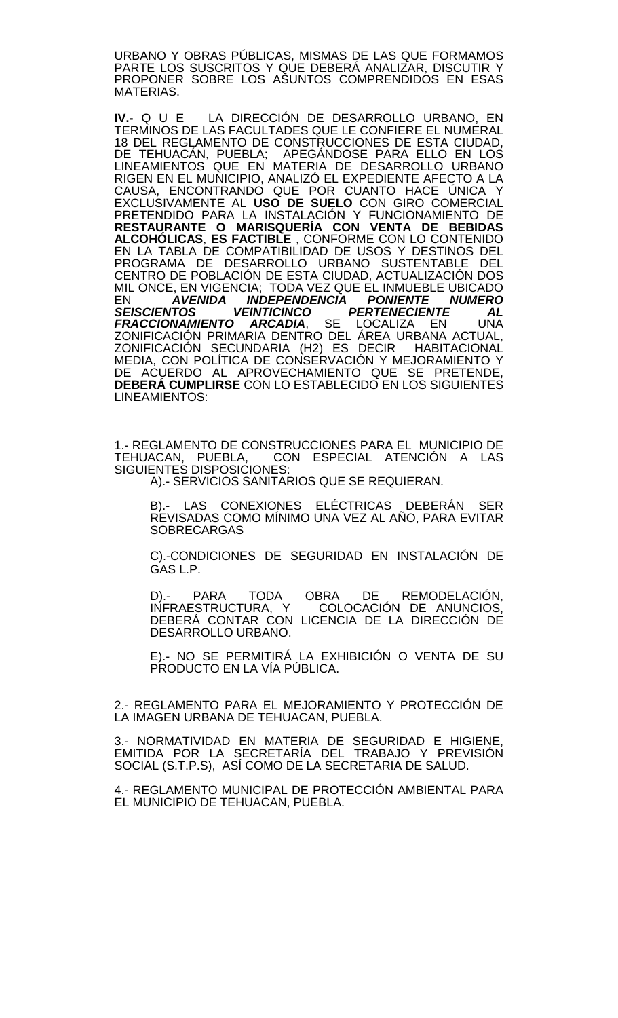URBANO Y OBRAS PÚBLICAS, MISMAS DE LAS QUE FORMAMOS PARTE LOS SUSCRITOS Y QUE DEBERÁ ANALIZAR, DISCUTIR Y PROPONER SOBRE LOS ASUNTOS COMPRENDIDOS EN ESAS MATERIAS.

**IV.-** Q U E LA DIRECCIÓN DE DESARROLLO URBANO, EN TERMINOS DE LAS FACULTADES QUE LE CONFIERE EL NUMERAL 18 DEL REGLAMENTO DE CONSTRUCCIONES DE ESTA CIUDAD, DE TEHUACÁN, PUEBLA; APEGÁNDOSE PARA ELLO EN LOS LINEAMIENTOS QUE EN MATERIA DE DESARROLLO URBANO RIGEN EN EL MUNICIPIO, ANALIZÓ EL EXPEDIENTE AFECTO A LA CAUSA, ENCONTRANDO QUE POR CUANTO HACE ÚNICA Y EXCLUSIVAMENTE AL **USO DE SUELO** CON GIRO COMERCIAL PRETENDIDO PARA LA INSTALACION Y FUNCIONAMIENTO DE **RESTAURANTE O MARISQUERÍA CON VENTA DE BEBIDAS ALCOHÓLICAS**, **ES FACTIBLE** , CONFORME CON LO CONTENIDO EN LA TABLA DE COMPATIBILIDAD DE USOS Y DESTINOS DEL PROGRAMA DE DESARROLLO URBANO SUSTENTABLE DEL CENTRO DE POBLACIÓN DE ESTA CIUDAD, ACTUALIZACIÓN DOS MIL ONCE, EN VIGENCIA; TODA VEZ QUE EL INMUEBLE UBICADO EN *AVENIDA INDEPENDENCIA PONIENTE NUMERO*  SEISCIENTOS VEINTICINCO PERTENECIENTE AL<br>FRACCIONAMIENTO ARCADIA, SE LOCALIZA EN UNA *FRACCIONAMIENTO ARCADIA*, SE LOCALIZA EN UNA ZONIFICACIÓN PRIMARIA DENTRO DEL AREA URBANA ACTUAL, ZONIFICACIÓN SECUNDARIA (H2) ES DECIR HABITACIONAL MEDIA, CON POLÍTICA DE CONSERVACIÓN Y MEJORAMIENTO Y DE ACUERDO AL APROVECHAMIENTO QUE SE PRETENDE, **DEBERÁ CUMPLIRSE** CON LO ESTABLECIDO EN LOS SIGUIENTES LINEAMIENTOS:

1.- REGLAMENTO DE CONSTRUCCIONES PARA EL MUNICIPIO DE TEHUACAN, PUEBLA, CON ESPECIAL ATENCIÓN A LAS CON ESPECIAL ATENCIÓN A LAS SIGUIENTES DISPOSICIONES:

A).- SERVICIOS SANITARIOS QUE SE REQUIERAN.

B).- LAS CONEXIONES ELÉCTRICAS DEBERÁN SER REVISADAS COMO MÍNIMO UNA VEZ AL AÑO, PARA EVITAR **SOBRECARGAS** 

C).-CONDICIONES DE SEGURIDAD EN INSTALACIÓN DE GAS L.P.

D).- PARA TODA OBRA DE REMODELACIÓN,<br>INFRAESTRUCTURA, Y COLOCACIÓN DE ANUNCIOS, DEBERÁ CONTAR CON LICENCIA DE LA DIRECCIÓN DE DESARROLLO URBANO.

E).- NO SE PERMITIRÁ LA EXHIBICIÓN O VENTA DE SU PRODUCTO EN LA VÍA PÚBLICA.

2.- REGLAMENTO PARA EL MEJORAMIENTO Y PROTECCIÓN DE LA IMAGEN URBANA DE TEHUACAN, PUEBLA.

3.- NORMATIVIDAD EN MATERIA DE SEGURIDAD E HIGIENE, EMITIDA POR LA SECRETARÍA DEL TRABAJO Y PREVISIÓN SOCIAL (S.T.P.S), ASÍ COMO DE LA SECRETARIA DE SALUD.

4.- REGLAMENTO MUNICIPAL DE PROTECCIÓN AMBIENTAL PARA EL MUNICIPIO DE TEHUACAN, PUEBLA.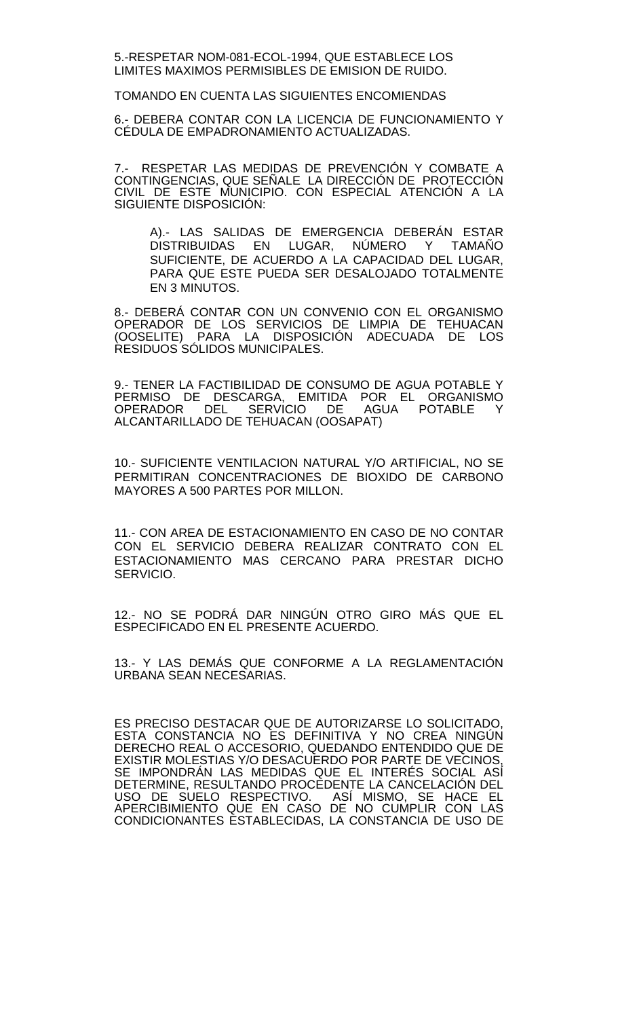5.-RESPETAR NOM-081-ECOL-1994, QUE ESTABLECE LOS LIMITES MAXIMOS PERMISIBLES DE EMISION DE RUIDO.

TOMANDO EN CUENTA LAS SIGUIENTES ENCOMIENDAS

6.- DEBERA CONTAR CON LA LICENCIA DE FUNCIONAMIENTO Y CÉDULA DE EMPADRONAMIENTO ACTUALIZADAS.

7.- RESPETAR LAS MEDIDAS DE PREVENÇION Y COMBATE A CONTINGENCIAS, QUE SENALE\_LA DIRECCIÓN DE\_PROTECCIÓN CIVIL DE ESTE MUNICIPIO. CON ESPECIAL ATENCIÓN A LA SIGUIENTE DISPOSICIÓN:

A).- LAS SALIDAS DE EMERGENCIA DEBERÁN ESTAR DISTRIBUIDAS EN LUGAR, NÚMERO Y TAMAÑO SUFICIENTE, DE ACUERDO A LA CAPACIDAD DEL LUGAR, PARA QUE ESTE PUEDA SER DESALOJADO TOTALMENTE EN 3 MINUTOS.

8.- DEBERÁ CONTAR CON UN CONVENIO CON EL ORGANISMO OPERADOR DE LOS SERVICIOS DE LIMPIA DE TEHUACAN (OOSELITE) PARA LA DISPOSICIÓN ADECUADA DE LOS RESIDUOS SÓLIDOS MUNICIPALES.

9.- TENER LA FACTIBILIDAD DE CONSUMO DE AGUA POTABLE Y PERMISO DE DESCARGA, EMITIDA POR EL ORGANISMO OPERADOR DEL SERVICIO DE AGUA POTABLE Y ALCANTARILLADO DE TEHUACAN (OOSAPAT)

10.- SUFICIENTE VENTILACION NATURAL Y/O ARTIFICIAL, NO SE PERMITIRAN CONCENTRACIONES DE BIOXIDO DE CARBONO MAYORES A 500 PARTES POR MILLON.

11.- CON AREA DE ESTACIONAMIENTO EN CASO DE NO CONTAR CON EL SERVICIO DEBERA REALIZAR CONTRATO CON EL ESTACIONAMIENTO MAS CERCANO PARA PRESTAR DICHO SERVICIO.

12.- NO SE PODRÁ DAR NINGÚN OTRO GIRO MÁS QUE EL ESPECIFICADO EN EL PRESENTE ACUERDO.

13.- Y LAS DEMÁS QUE CONFORME A LA REGLAMENTACIÓN URBANA SEAN NECESARIAS.

ES PRECISO DESTACAR QUE DE AUTORIZARSE LO SOLICITADO, ESTA CONSTANCIA NO ES DEFINITIVA Y NO CREA NINGÚN DERECHO REAL O ACCESORIO, QUEDANDO ENTENDIDO QUE DE EXISTIR MOLESTIAS Y/O DESACUERDO POR PARTE DE VECINOS, SE IMPONDRAN LAS MEDIDAS QUE EL INTERES SOCIAL ASI DETERMINE, RESULTANDO PROCEDENTE LA CANCELACIÓN DEL USO DE SUELO RESPECTIVO. ASÍ MISMO, SE HACE EL APERCIBIMIENTO QUE EN CASO DE NO CUMPLIR CON LAS CONDICIONANTES ESTABLECIDAS, LA CONSTANCIA DE USO DE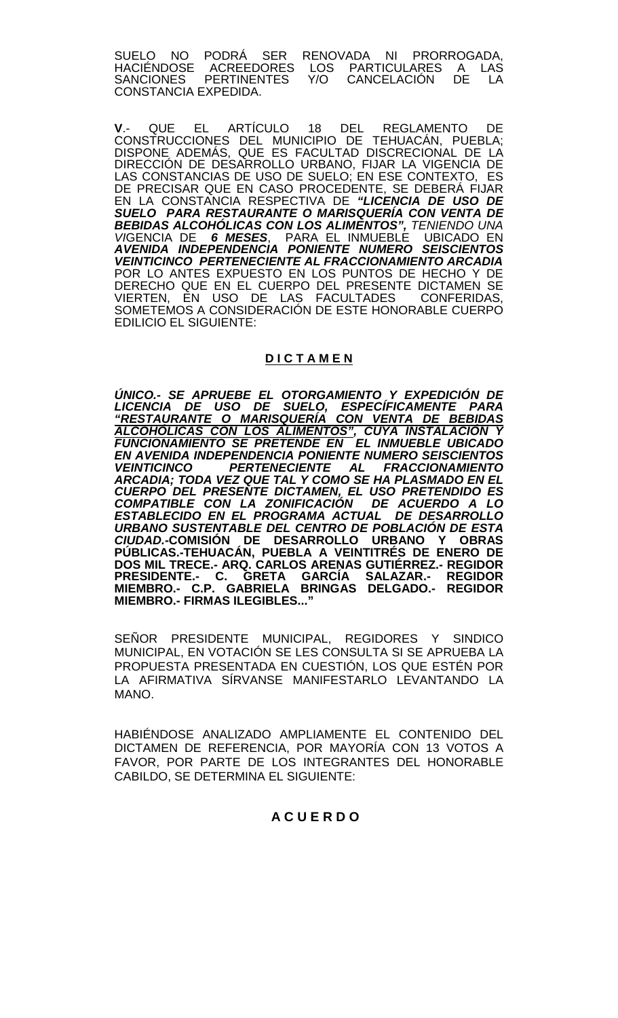SUELO NO PODRÁ SER RENOVADA NI PRORROGADA, HACIÉNDOSE ACREEDORES LOS PARTICULARES A LAS SANCIONES PERTINENTES Y/O CANCELACIÓN DE LA CONSTANCIA EXPEDIDA.

**V**.- QUE EL ARTÍCULO 18 DEL REGLAMENTO DE CONSTRUCCIONES DEL MUNICIPIO DE TEHUACÁN, PUEBLA; DISPONE ADEMÁS, QUE ES FACULTAD DISCRECIONAL DE LA DIRECCIÓN DE DESARROLLO URBANO, FIJAR LA VIGENCIA DE LAS CONSTANCIAS DE USO DE SUELO; EN ESE CONTEXTO, ES DE PRECISAR QUE EN CASO PROCEDENTE, SE DEBERÁ FIJAR EN LA CONSTANCIA RESPECTIVA DE *"LICENCIA DE USO DE SUELO PARA RESTAURANTE O MARISQUERÍA CON VENTA DE BEBIDAS ALCOHÓLICAS CON LOS ALIMENTOS", TENIENDO UNA VI*GENCIA DE *6 MESES*, PARA EL INMUEBLE UBICADO EN *AVENIDA INDEPENDENCIA PONIENTE NUMERO SEISCIENTOS VEINTICINCO PERTENECIENTE AL FRACCIONAMIENTO ARCADIA* POR LO ANTES EXPUESTO EN LOS PUNTOS DE HECHO Y DE DERECHO QUE EN EL CUERPO DEL PRESENTE DICTAMEN SE VIERTEN, EN USO DE LAS FACULTADES CONFERIDAS, SOMETEMOS A CONSIDERACIÓN DE ESTE HONORABLE CUERPO EDILICIO EL SIGUIENTE:

## **D I C T A M E N**

*ÚNICO.- SE APRUEBE EL OTORGAMIENTO Y EXPEDICIÓN DE LICENCIA DE USO DE SUELO, ESPECÍFICAMENTE PARA "RESTAURANTE O MARISQUERÍA CON VENTA DE BEBIDAS ALCOHÓLICAS CON LOS ALIMENTOS", CUYA INSTALACIÓN Y FUNCIONAMIENTO SE PRETENDE EN EL INMUEBLE UBICADO EN AVENIDA INDEPENDENCIA PONIENTE NUMERO SEISCIENTOS VEINTICINCO PERTENECIENTE AL FRACCIONAMIENTO ARCADIA; TODA VEZ QUE TAL Y COMO SE HA PLASMADO EN EL CUERPO DEL PRESENTE DICTAMEN, EL USO PRETENDIDO ES COMPATIBLE CON LA ZONIFICACIÓN DE ACUERDO A LO ESTABLECIDO EN EL PROGRAMA ACTUAL DE DESARROLLO URBANO SUSTENTABLE DEL CENTRO DE POBLACIÓN DE ESTA CIUDAD.***-COMISIÓN DE DESARROLLO URBANO Y OBRAS PÚBLICAS.-TEHUACÁN, PUEBLA A VEINTITRÉS DE ENERO DE DOS MIL TRECE.- ARQ. CARLOS ARENAS GUTIÉRREZ.- REGIDOR PRESIDENTE.- C. GRETA GARCÍA SALAZAR.- REGIDOR MIEMBRO.- C.P. GABRIELA BRINGAS DELGADO.- REGIDOR MIEMBRO.- FIRMAS ILEGIBLES..."**

SEÑOR PRESIDENTE MUNICIPAL, REGIDORES Y SINDICO MUNICIPAL, EN VOTACIÓN SE LES CONSULTA SI SE APRUEBA LA PROPUESTA PRESENTADA EN CUESTIÓN, LOS QUE ESTÉN POR LA AFIRMATIVA SÍRVANSE MANIFESTARLO LEVANTANDO LA MANO.

HABIÉNDOSE ANALIZADO AMPLIAMENTE EL CONTENIDO DEL DICTAMEN DE REFERENCIA, POR MAYORÍA CON 13 VOTOS A FAVOR, POR PARTE DE LOS INTEGRANTES DEL HONORABLE CABILDO, SE DETERMINA EL SIGUIENTE:

### **A C U E R D O**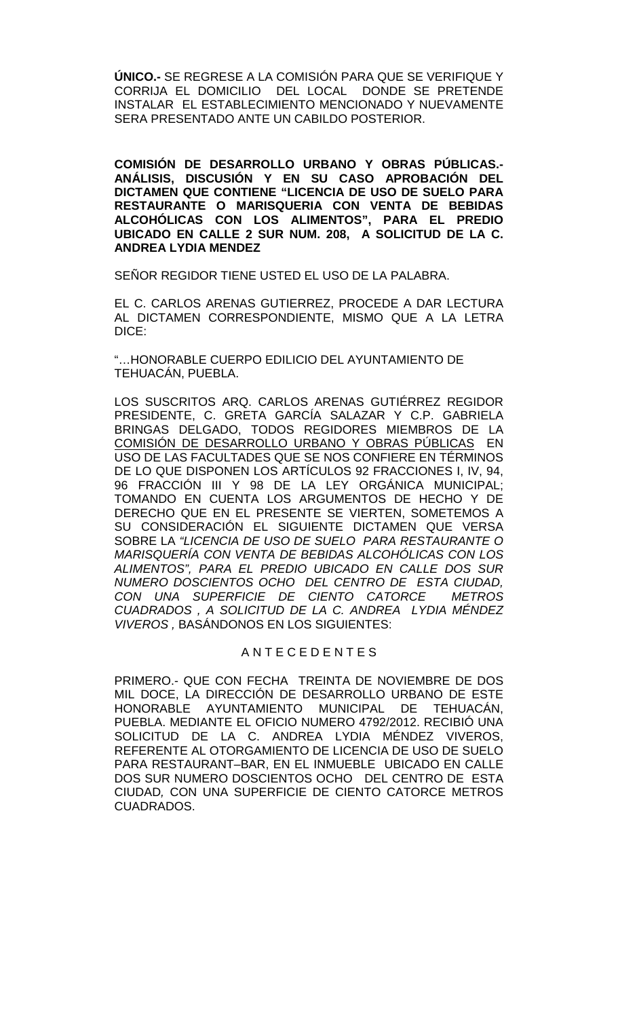**ÚNICO.-** SE REGRESE A LA COMISIÓN PARA QUE SE VERIFIQUE Y CORRIJA EL DOMICILIO DEL LOCAL DONDE SE PRETENDE INSTALAR EL ESTABLECIMIENTO MENCIONADO Y NUEVAMENTE SERA PRESENTADO ANTE UN CABILDO POSTERIOR.

**COMISIÓN DE DESARROLLO URBANO Y OBRAS PÚBLICAS.- ANÁLISIS, DISCUSIÓN Y EN SU CASO APROBACIÓN DEL DICTAMEN QUE CONTIENE "LICENCIA DE USO DE SUELO PARA RESTAURANTE O MARISQUERIA CON VENTA DE BEBIDAS ALCOHÓLICAS CON LOS ALIMENTOS", PARA EL PREDIO UBICADO EN CALLE 2 SUR NUM. 208, A SOLICITUD DE LA C. ANDREA LYDIA MENDEZ** 

SEÑOR REGIDOR TIENE USTED EL USO DE LA PALABRA.

EL C. CARLOS ARENAS GUTIERREZ, PROCEDE A DAR LECTURA AL DICTAMEN CORRESPONDIENTE, MISMO QUE A LA LETRA DICE:

"…HONORABLE CUERPO EDILICIO DEL AYUNTAMIENTO DE TEHUACÁN, PUEBLA.

LOS SUSCRITOS ARQ. CARLOS ARENAS GUTIÉRREZ REGIDOR PRESIDENTE, C. GRETA GARCÍA SALAZAR Y C.P. GABRIELA BRINGAS DELGADO, TODOS REGIDORES MIEMBROS DE LA COMISIÓN DE DESARROLLO URBANO Y OBRAS PÚBLICAS EN USO DE LAS FACULTADES QUE SE NOS CONFIERE EN TÉRMINOS DE LO QUE DISPONEN LOS ARTÍCULOS 92 FRACCIONES I, IV, 94, 96 FRACCIÓN III Y 98 DE LA LEY ORGÁNICA MUNICIPAL; TOMANDO EN CUENTA LOS ARGUMENTOS DE HECHO Y DE DERECHO QUE EN EL PRESENTE SE VIERTEN, SOMETEMOS A SU CONSIDERACIÓN EL SIGUIENTE DICTAMEN QUE VERSA SOBRE LA *"LICENCIA DE USO DE SUELO PARA RESTAURANTE O MARISQUERÍA CON VENTA DE BEBIDAS ALCOHÓLICAS CON LOS ALIMENTOS", PARA EL PREDIO UBICADO EN CALLE DOS SUR NUMERO DOSCIENTOS OCHO DEL CENTRO DE ESTA CIUDAD, CON UNA SUPERFICIE DE CIENTO CATORCE METROS CUADRADOS , A SOLICITUD DE LA C. ANDREA LYDIA MÉNDEZ VIVEROS ,* BASÁNDONOS EN LOS SIGUIENTES:

# A N T E C E D E N T E S

PRIMERO.- QUE CON FECHA TREINTA DE NOVIEMBRE DE DOS MIL DOCE, LA DIRECCIÓN DE DESARROLLO URBANO DE ESTE HONORABLE AYUNTAMIENTO MUNICIPAL DE TEHUACÁN, PUEBLA. MEDIANTE EL OFICIO NUMERO 4792/2012. RECIBIÓ UNA SOLICITUD DE LA C. ANDREA LYDIA MÉNDEZ VIVEROS, REFERENTE AL OTORGAMIENTO DE LICENCIA DE USO DE SUELO PARA RESTAURANT–BAR, EN EL INMUEBLE UBICADO EN CALLE DOS SUR NUMERO DOSCIENTOS OCHO DEL CENTRO DE ESTA CIUDAD*,* CON UNA SUPERFICIE DE CIENTO CATORCE METROS CUADRADOS.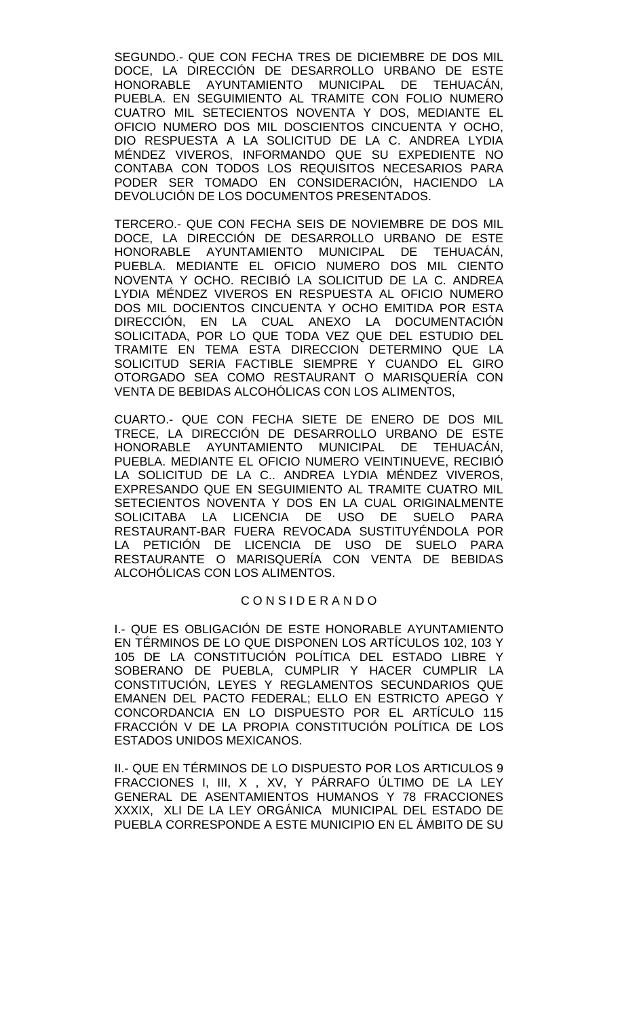SEGUNDO.- QUE CON FECHA TRES DE DICIEMBRE DE DOS MIL DOCE, LA DIRECCIÓN DE DESARROLLO URBANO DE ESTE<br>HONORABLE AYUNTAMIENTO MUNICIPAL DE TEHUACÁN. AYUNTAMIENTO MUNICIPAL DE PUEBLA. EN SEGUIMIENTO AL TRAMITE CON FOLIO NUMERO CUATRO MIL SETECIENTOS NOVENTA Y DOS, MEDIANTE EL OFICIO NUMERO DOS MIL DOSCIENTOS CINCUENTA Y OCHO, DIO RESPUESTA A LA SOLICITUD DE LA C. ANDREA LYDIA MÉNDEZ VIVEROS, INFORMANDO QUE SU EXPEDIENTE NO CONTABA CON TODOS LOS REQUISITOS NECESARIOS PARA PODER SER TOMADO EN CONSIDERACIÓN, HACIENDO LA DEVOLUCIÓN DE LOS DOCUMENTOS PRESENTADOS.

TERCERO.- QUE CON FECHA SEIS DE NOVIEMBRE DE DOS MIL DOCE, LA DIRECCIÓN DE DESARROLLO URBANO DE ESTE HONORABLE AYUNTAMIENTO MUNICIPAL DE TEHUACÁN, PUEBLA. MEDIANTE EL OFICIO NUMERO DOS MIL CIENTO NOVENTA Y OCHO. RECIBIÓ LA SOLICITUD DE LA C. ANDREA LYDIA MÉNDEZ VIVEROS EN RESPUESTA AL OFICIO NUMERO DOS MIL DOCIENTOS CINCUENTA Y OCHO EMITIDA POR ESTA DIRECCIÓN, EN LA CUAL ANEXO LA DOCUMENTACIÓN SOLICITADA, POR LO QUE TODA VEZ QUE DEL ESTUDIO DEL TRAMITE EN TEMA ESTA DIRECCION DETERMINO QUE LA SOLICITUD SERIA FACTIBLE SIEMPRE Y CUANDO EL GIRO OTORGADO SEA COMO RESTAURANT O MARISQUERÍA CON VENTA DE BEBIDAS ALCOHÓLICAS CON LOS ALIMENTOS,

CUARTO.- QUE CON FECHA SIETE DE ENERO DE DOS MIL TRECE, LA DIRECCIÓN DE DESARROLLO URBANO DE ESTE HONORABLE AYUNTAMIENTO MUNICIPAL DE TEHUACÁN, PUEBLA. MEDIANTE EL OFICIO NUMERO VEINTINUEVE, RECIBIÓ LA SOLICITUD DE LA C.. ANDREA LYDIA MÉNDEZ VIVEROS, EXPRESANDO QUE EN SEGUIMIENTO AL TRAMITE CUATRO MIL SETECIENTOS NOVENTA Y DOS EN LA CUAL ORIGINALMENTE SOLICITABA LA LICENCIA DE USO DE SUELO PARA RESTAURANT-BAR FUERA REVOCADA SUSTITUYÉNDOLA POR LA PETICIÓN DE LICENCIA DE USO DE SUELO PARA RESTAURANTE O MARISQUERÍA CON VENTA DE BEBIDAS ALCOHÓLICAS CON LOS ALIMENTOS.

# C O N S I D E R A N D O

I.- QUE ES OBLIGACIÓN DE ESTE HONORABLE AYUNTAMIENTO EN TÉRMINOS DE LO QUE DISPONEN LOS ARTÍCULOS 102, 103 Y 105 DE LA CONSTITUCIÓN POLÍTICA DEL ESTADO LIBRE Y SOBERANO DE PUEBLA, CUMPLIR Y HACER CUMPLIR LA CONSTITUCIÓN, LEYES Y REGLAMENTOS SECUNDARIOS QUE EMANEN DEL PACTO FEDERAL; ELLO EN ESTRICTO APEGO Y CONCORDANCIA EN LO DISPUESTO POR EL ARTÍCULO 115 FRACCIÓN V DE LA PROPIA CONSTITUCIÓN POLÍTICA DE LOS ESTADOS UNIDOS MEXICANOS.

II.- QUE EN TÉRMINOS DE LO DISPUESTO POR LOS ARTICULOS 9 FRACCIONES I, III, X , XV, Y PÁRRAFO ÚLTIMO DE LA LEY GENERAL DE ASENTAMIENTOS HUMANOS Y 78 FRACCIONES XXXIX, XLI DE LA LEY ORGÁNICA MUNICIPAL DEL ESTADO DE PUEBLA CORRESPONDE A ESTE MUNICIPIO EN EL ÁMBITO DE SU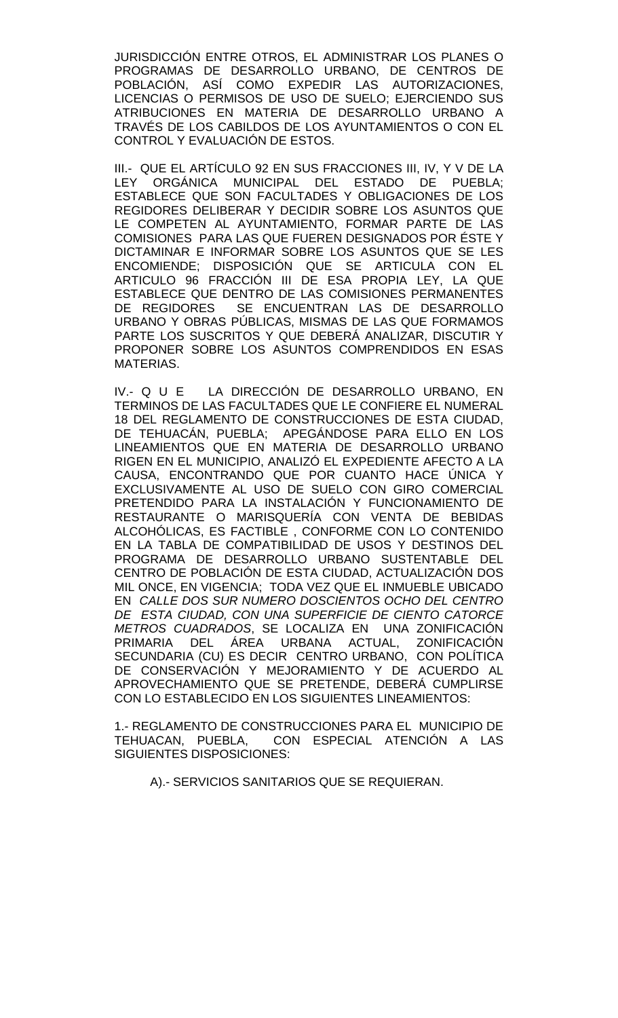JURISDICCIÓN ENTRE OTROS, EL ADMINISTRAR LOS PLANES O PROGRAMAS DE DESARROLLO URBANO, DE CENTROS DE POBLACIÓN, ASÍ COMO EXPEDIR LAS AUTORIZACIONES, LICENCIAS O PERMISOS DE USO DE SUELO; EJERCIENDO SUS ATRIBUCIONES EN MATERIA DE DESARROLLO URBANO A TRAVÉS DE LOS CABILDOS DE LOS AYUNTAMIENTOS O CON EL CONTROL Y EVALUACIÓN DE ESTOS.

III.- QUE EL ARTÍCULO 92 EN SUS FRACCIONES III, IV, Y V DE LA LEY ORGÁNICA MUNICIPAL DEL ESTADO DE PUEBLA; ESTABLECE QUE SON FACULTADES Y OBLIGACIONES DE LOS REGIDORES DELIBERAR Y DECIDIR SOBRE LOS ASUNTOS QUE LE COMPETEN AL AYUNTAMIENTO, FORMAR PARTE DE LAS COMISIONES PARA LAS QUE FUEREN DESIGNADOS POR ÉSTE Y DICTAMINAR E INFORMAR SOBRE LOS ASUNTOS QUE SE LES ENCOMIENDE; DISPOSICIÓN QUE SE ARTICULA CON EL ARTICULO 96 FRACCIÓN III DE ESA PROPIA LEY, LA QUE ESTABLECE QUE DENTRO DE LAS COMISIONES PERMANENTES DE REGIDORES SE ENCUENTRAN LAS DE DESARROLLO URBANO Y OBRAS PÚBLICAS, MISMAS DE LAS QUE FORMAMOS PARTE LOS SUSCRITOS Y QUE DEBERÁ ANALIZAR, DISCUTIR Y PROPONER SOBRE LOS ASUNTOS COMPRENDIDOS EN ESAS MATERIAS.

IV.- Q U E LA DIRECCIÓN DE DESARROLLO URBANO, EN TERMINOS DE LAS FACULTADES QUE LE CONFIERE EL NUMERAL 18 DEL REGLAMENTO DE CONSTRUCCIONES DE ESTA CIUDAD, DE TEHUACÁN, PUEBLA; APEGÁNDOSE PARA ELLO EN LOS LINEAMIENTOS QUE EN MATERIA DE DESARROLLO URBANO RIGEN EN EL MUNICIPIO, ANALIZÓ EL EXPEDIENTE AFECTO A LA CAUSA, ENCONTRANDO QUE POR CUANTO HACE ÚNICA Y EXCLUSIVAMENTE AL USO DE SUELO CON GIRO COMERCIAL PRETENDIDO PARA LA INSTALACIÓN Y FUNCIONAMIENTO DE RESTAURANTE O MARISQUERÍA CON VENTA DE BEBIDAS ALCOHÓLICAS, ES FACTIBLE , CONFORME CON LO CONTENIDO EN LA TABLA DE COMPATIBILIDAD DE USOS Y DESTINOS DEL PROGRAMA DE DESARROLLO URBANO SUSTENTABLE DEL CENTRO DE POBLACIÓN DE ESTA CIUDAD, ACTUALIZACIÓN DOS MIL ONCE, EN VIGENCIA; TODA VEZ QUE EL INMUEBLE UBICADO EN *CALLE DOS SUR NUMERO DOSCIENTOS OCHO DEL CENTRO DE ESTA CIUDAD, CON UNA SUPERFICIE DE CIENTO CATORCE METROS CUADRADOS*, SE LOCALIZA EN UNA ZONIFICACIÓN PRIMARIA DEL ÁREA URBANA ACTUAL, ZONIFICACIÓN SECUNDARIA (CU) ES DECIR CENTRO URBANO, CON POLÍTICA DE CONSERVACIÓN Y MEJORAMIENTO Y DE ACUERDO AL APROVECHAMIENTO QUE SE PRETENDE, DEBERÁ CUMPLIRSE CON LO ESTABLECIDO EN LOS SIGUIENTES LINEAMIENTOS:

1.- REGLAMENTO DE CONSTRUCCIONES PARA EL MUNICIPIO DE TEHUACAN, PUEBLA, CON ESPECIAL ATENCIÓN A LAS SIGUIENTES DISPOSICIONES:

A).- SERVICIOS SANITARIOS QUE SE REQUIERAN.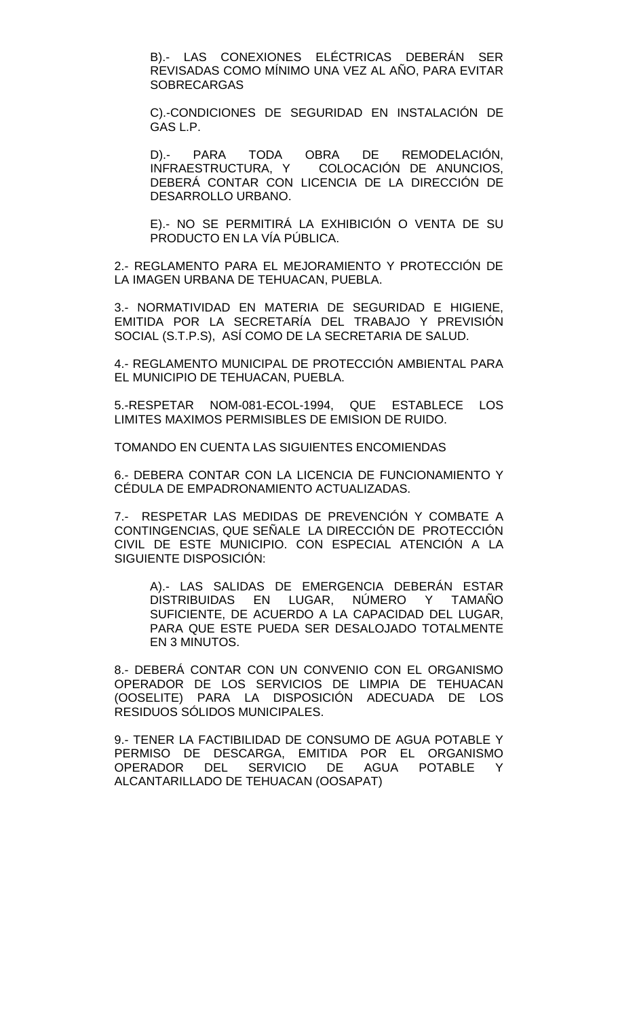B).- LAS CONEXIONES ELÉCTRICAS DEBERÁN SER REVISADAS COMO MÍNIMO UNA VEZ AL AÑO, PARA EVITAR SOBRECARGAS

C).-CONDICIONES DE SEGURIDAD EN INSTALACIÓN DE GAS L.P.

D).- PARA TODA OBRA DE REMODELACIÓN, INFRAESTRUCTURA, Y COLOCACIÓN DE ANUNCIOS, DEBERÁ CONTAR CON LICENCIA DE LA DIRECCIÓN DE DESARROLLO URBANO.

E).- NO SE PERMITIRÁ LA EXHIBICIÓN O VENTA DE SU PRODUCTO EN LA VÍA PÚBLICA.

2.- REGLAMENTO PARA EL MEJORAMIENTO Y PROTECCIÓN DE LA IMAGEN URBANA DE TEHUACAN, PUEBLA.

3.- NORMATIVIDAD EN MATERIA DE SEGURIDAD E HIGIENE, EMITIDA POR LA SECRETARÍA DEL TRABAJO Y PREVISIÓN SOCIAL (S.T.P.S), ASÍ COMO DE LA SECRETARIA DE SALUD.

4.- REGLAMENTO MUNICIPAL DE PROTECCIÓN AMBIENTAL PARA EL MUNICIPIO DE TEHUACAN, PUEBLA.

5.-RESPETAR NOM-081-ECOL-1994, QUE ESTABLECE LOS LIMITES MAXIMOS PERMISIBLES DE EMISION DE RUIDO.

TOMANDO EN CUENTA LAS SIGUIENTES ENCOMIENDAS

6.- DEBERA CONTAR CON LA LICENCIA DE FUNCIONAMIENTO Y CÉDULA DE EMPADRONAMIENTO ACTUALIZADAS.

7.- RESPETAR LAS MEDIDAS DE PREVENCIÓN Y COMBATE A CONTINGENCIAS, QUE SEÑALE LA DIRECCIÓN DE PROTECCIÓN CIVIL DE ESTE MUNICIPIO. CON ESPECIAL ATENCIÓN A LA SIGUIENTE DISPOSICIÓN:

A).- LAS SALIDAS DE EMERGENCIA DEBERÁN ESTAR DISTRIBUIDAS EN LUGAR, NÚMERO Y TAMAÑO SUFICIENTE, DE ACUERDO A LA CAPACIDAD DEL LUGAR, PARA QUE ESTE PUEDA SER DESALOJADO TOTALMENTE EN 3 MINUTOS.

8.- DEBERÁ CONTAR CON UN CONVENIO CON EL ORGANISMO OPERADOR DE LOS SERVICIOS DE LIMPIA DE TEHUACAN (OOSELITE) PARA LA DISPOSICIÓN ADECUADA DE LOS RESIDUOS SÓLIDOS MUNICIPALES.

9.- TENER LA FACTIBILIDAD DE CONSUMO DE AGUA POTABLE Y PERMISO DE DESCARGA, EMITIDA POR EL ORGANISMO OPERADOR DEL SERVICIO DE AGUA POTABLE Y ALCANTARILLADO DE TEHUACAN (OOSAPAT)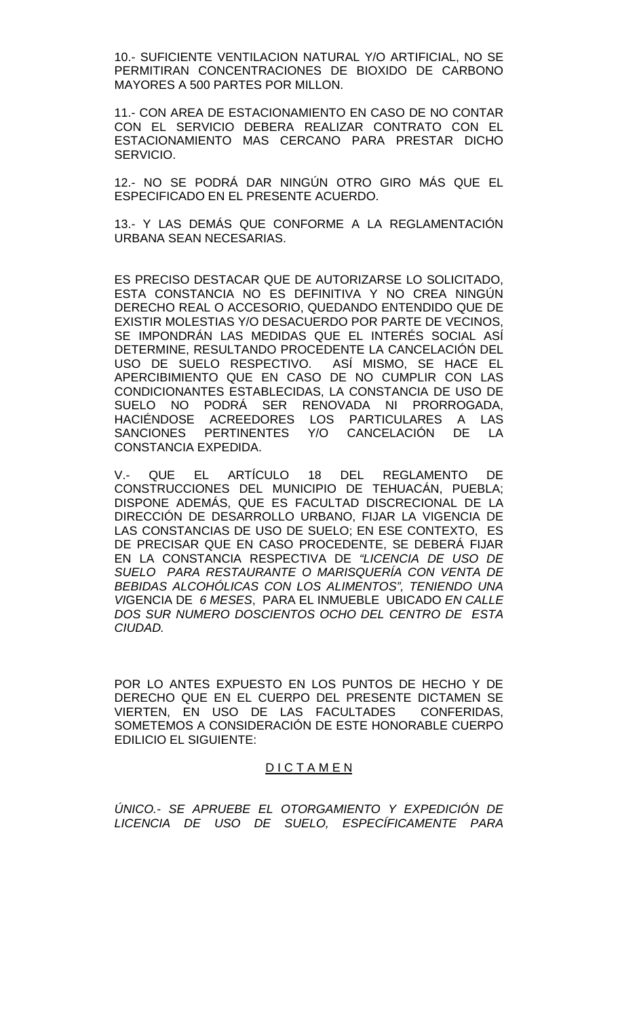10.- SUFICIENTE VENTILACION NATURAL Y/O ARTIFICIAL, NO SE PERMITIRAN CONCENTRACIONES DE BIOXIDO DE CARBONO MAYORES A 500 PARTES POR MILLON.

11.- CON AREA DE ESTACIONAMIENTO EN CASO DE NO CONTAR CON EL SERVICIO DEBERA REALIZAR CONTRATO CON EL ESTACIONAMIENTO MAS CERCANO PARA PRESTAR DICHO SERVICIO.

12.- NO SE PODRÁ DAR NINGÚN OTRO GIRO MÁS QUE EL ESPECIFICADO EN EL PRESENTE ACUERDO.

13.- Y LAS DEMÁS QUE CONFORME A LA REGLAMENTACIÓN URBANA SEAN NECESARIAS.

ES PRECISO DESTACAR QUE DE AUTORIZARSE LO SOLICITADO, ESTA CONSTANCIA NO ES DEFINITIVA Y NO CREA NINGÚN DERECHO REAL O ACCESORIO, QUEDANDO ENTENDIDO QUE DE EXISTIR MOLESTIAS Y/O DESACUERDO POR PARTE DE VECINOS, SE IMPONDRÁN LAS MEDIDAS QUE EL INTERÉS SOCIAL ASÍ DETERMINE, RESULTANDO PROCEDENTE LA CANCELACIÓN DEL USO DE SUELO RESPECTIVO. ASÍ MISMO, SE HACE EL APERCIBIMIENTO QUE EN CASO DE NO CUMPLIR CON LAS CONDICIONANTES ESTABLECIDAS, LA CONSTANCIA DE USO DE SUELO NO PODRÁ SER RENOVADA NI PRORROGADA, HACIÉNDOSE ACREEDORES LOS PARTICULARES A LAS<br>SANCIONES PERTINENTES Y/O CANCELACIÓN DE LA SANCIONES PERTINENTES Y/O CANCELACIÓN CONSTANCIA EXPEDIDA.

V.- QUE EL ARTÍCULO 18 DEL REGLAMENTO DE CONSTRUCCIONES DEL MUNICIPIO DE TEHUACÁN, PUEBLA; DISPONE ADEMÁS, QUE ES FACULTAD DISCRECIONAL DE LA DIRECCIÓN DE DESARROLLO URBANO, FIJAR LA VIGENCIA DE LAS CONSTANCIAS DE USO DE SUELO; EN ESE CONTEXTO, ES DE PRECISAR QUE EN CASO PROCEDENTE, SE DEBERÁ FIJAR EN LA CONSTANCIA RESPECTIVA DE *"LICENCIA DE USO DE SUELO PARA RESTAURANTE O MARISQUERÍA CON VENTA DE BEBIDAS ALCOHÓLICAS CON LOS ALIMENTOS", TENIENDO UNA VI*GENCIA DE *6 MESES*, PARA EL INMUEBLE UBICADO *EN CALLE DOS SUR NUMERO DOSCIENTOS OCHO DEL CENTRO DE ESTA CIUDAD.*

POR LO ANTES EXPUESTO EN LOS PUNTOS DE HECHO Y DE DERECHO QUE EN EL CUERPO DEL PRESENTE DICTAMEN SE VIERTEN, EN USO DE LAS FACULTADES CONFERIDAS, SOMETEMOS A CONSIDERACIÓN DE ESTE HONORABLE CUERPO EDILICIO EL SIGUIENTE:

### D I C T A M E N

*ÚNICO.- SE APRUEBE EL OTORGAMIENTO Y EXPEDICIÓN DE LICENCIA DE USO DE SUELO, ESPECÍFICAMENTE PARA*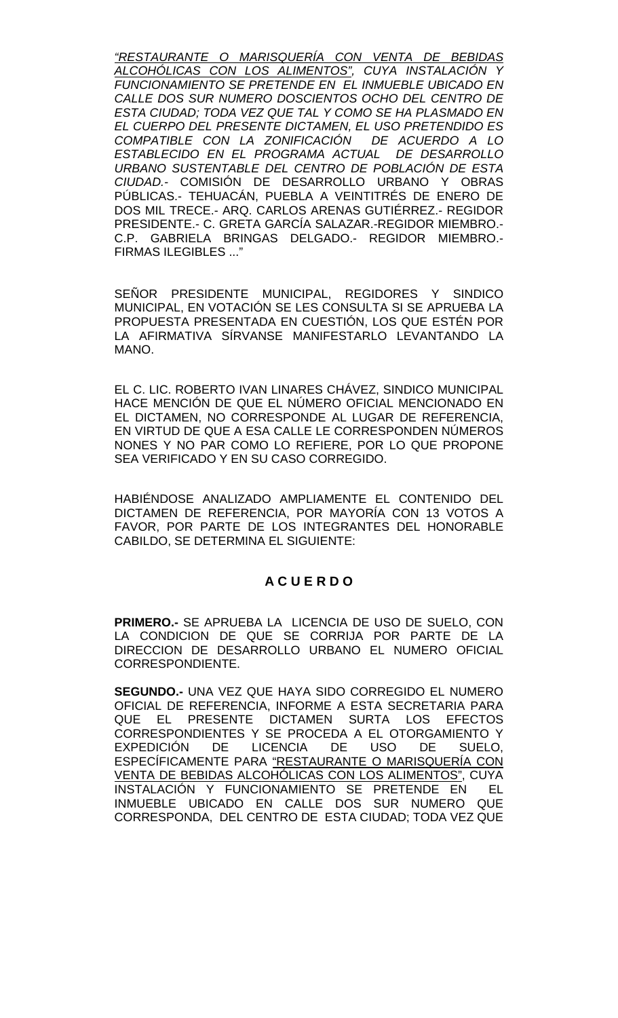*"RESTAURANTE O MARISQUERÍA CON VENTA DE BEBIDAS ALCOHÓLICAS CON LOS ALIMENTOS", CUYA INSTALACIÓN Y FUNCIONAMIENTO SE PRETENDE EN EL INMUEBLE UBICADO EN CALLE DOS SUR NUMERO DOSCIENTOS OCHO DEL CENTRO DE ESTA CIUDAD; TODA VEZ QUE TAL Y COMO SE HA PLASMADO EN EL CUERPO DEL PRESENTE DICTAMEN, EL USO PRETENDIDO ES COMPATIBLE CON LA ZONIFICACIÓN DE ACUERDO A LO ESTABLECIDO EN EL PROGRAMA ACTUAL DE DESARROLLO URBANO SUSTENTABLE DEL CENTRO DE POBLACIÓN DE ESTA CIUDAD.-* COMISIÓN DE DESARROLLO URBANO Y OBRAS PÚBLICAS.- TEHUACÁN, PUEBLA A VEINTITRÉS DE ENERO DE DOS MIL TRECE.- ARQ. CARLOS ARENAS GUTIÉRREZ.- REGIDOR PRESIDENTE.- C. GRETA GARCÍA SALAZAR.-REGIDOR MIEMBRO.- C.P. GABRIELA BRINGAS DELGADO.- REGIDOR MIEMBRO.- FIRMAS ILEGIBLES ..."

SEÑOR PRESIDENTE MUNICIPAL, REGIDORES Y SINDICO MUNICIPAL, EN VOTACIÓN SE LES CONSULTA SI SE APRUEBA LA PROPUESTA PRESENTADA EN CUESTIÓN, LOS QUE ESTÉN POR LA AFIRMATIVA SÍRVANSE MANIFESTARLO LEVANTANDO LA MANO.

EL C. LIC. ROBERTO IVAN LINARES CHÁVEZ, SINDICO MUNICIPAL HACE MENCIÓN DE QUE EL NÚMERO OFICIAL MENCIONADO EN EL DICTAMEN, NO CORRESPONDE AL LUGAR DE REFERENCIA, EN VIRTUD DE QUE A ESA CALLE LE CORRESPONDEN NÚMEROS NONES Y NO PAR COMO LO REFIERE, POR LO QUE PROPONE SEA VERIFICADO Y EN SU CASO CORREGIDO.

HABIÉNDOSE ANALIZADO AMPLIAMENTE EL CONTENIDO DEL DICTAMEN DE REFERENCIA, POR MAYORÍA CON 13 VOTOS A FAVOR, POR PARTE DE LOS INTEGRANTES DEL HONORABLE CABILDO, SE DETERMINA EL SIGUIENTE:

# **A C U E R D O**

**PRIMERO.-** SE APRUEBA LA LICENCIA DE USO DE SUELO, CON LA CONDICION DE QUE SE CORRIJA POR PARTE DE LA DIRECCION DE DESARROLLO URBANO EL NUMERO OFICIAL CORRESPONDIENTE.

**SEGUNDO.-** UNA VEZ QUE HAYA SIDO CORREGIDO EL NUMERO OFICIAL DE REFERENCIA, INFORME A ESTA SECRETARIA PARA QUE EL PRESENTE DICTAMEN SURTA LOS EFECTOS CORRESPONDIENTES Y SE PROCEDA A EL OTORGAMIENTO Y EXPEDICIÓN DE LICENCIA DE USO DE SUELO, ESPECÍFICAMENTE PARA "RESTAURANTE O MARISQUERÍA CON VENTA DE BEBIDAS ALCOHÓLICAS CON LOS ALIMENTOS", CUYA INSTALACIÓN Y FUNCIONAMIENTO SE PRETENDE EN EL INMUEBLE UBICADO EN CALLE DOS SUR NUMERO QUE CORRESPONDA, DEL CENTRO DE ESTA CIUDAD; TODA VEZ QUE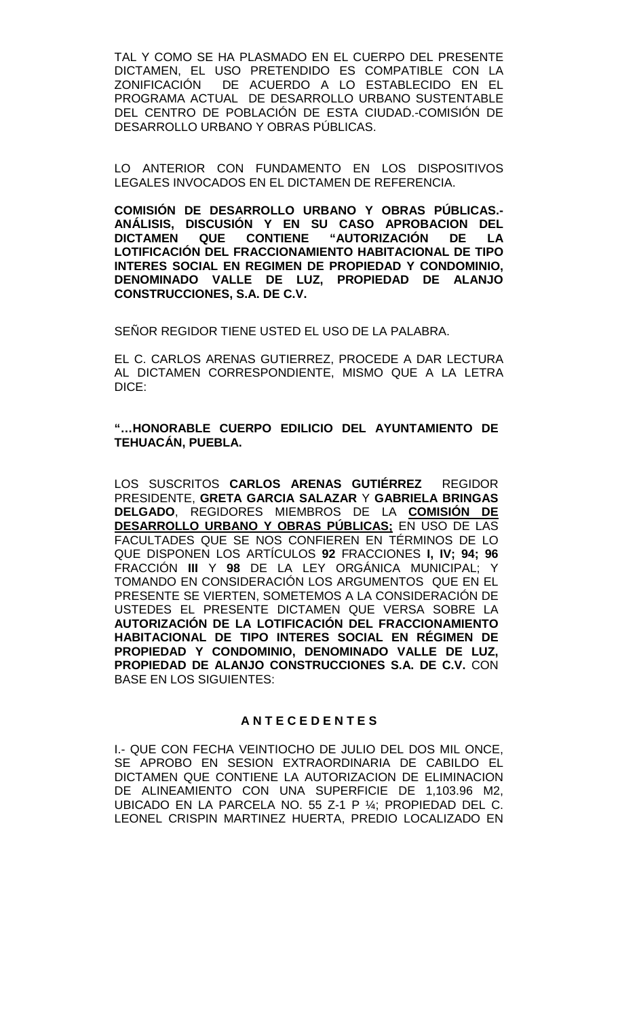TAL Y COMO SE HA PLASMADO EN EL CUERPO DEL PRESENTE DICTAMEN, EL USO PRETENDIDO ES COMPATIBLE CON LA<br>ZONIFICACIÓN DE ACUERDO A LO ESTABLECIDO EN EL DE ACUERDO A LO ESTABLECIDO EN EL PROGRAMA ACTUAL DE DESARROLLO URBANO SUSTENTABLE DEL CENTRO DE POBLACIÓN DE ESTA CIUDAD.-COMISIÓN DE DESARROLLO URBANO Y OBRAS PÚBLICAS.

LO ANTERIOR CON FUNDAMENTO EN LOS DISPOSITIVOS LEGALES INVOCADOS EN EL DICTAMEN DE REFERENCIA.

**COMISIÓN DE DESARROLLO URBANO Y OBRAS PÚBLICAS.- ANÁLISIS, DISCUSIÓN Y EN SU CASO APROBACION DEL DICTAMEN QUE CONTIENE "AUTORIZACIÓN DE LA LOTIFICACIÓN DEL FRACCIONAMIENTO HABITACIONAL DE TIPO INTERES SOCIAL EN REGIMEN DE PROPIEDAD Y CONDOMINIO, DENOMINADO VALLE DE LUZ, PROPIEDAD DE ALANJO CONSTRUCCIONES, S.A. DE C.V.**

SEÑOR REGIDOR TIENE USTED EL USO DE LA PALABRA.

EL C. CARLOS ARENAS GUTIERREZ, PROCEDE A DAR LECTURA AL DICTAMEN CORRESPONDIENTE, MISMO QUE A LA LETRA DICE:

# **"…HONORABLE CUERPO EDILICIO DEL AYUNTAMIENTO DE TEHUACÁN, PUEBLA.**

LOS SUSCRITOS **CARLOS ARENAS GUTIÉRREZ** REGIDOR PRESIDENTE, **GRETA GARCIA SALAZAR** Y **GABRIELA BRINGAS DELGADO**, REGIDORES MIEMBROS DE LA **COMISIÓN DE DESARROLLO URBANO Y OBRAS PÚBLICAS;** EN USO DE LAS FACULTADES QUE SE NOS CONFIEREN EN TÉRMINOS DE LO QUE DISPONEN LOS ARTÍCULOS **92** FRACCIONES **I, IV; 94; 96** FRACCIÓN **III** Y **98** DE LA LEY ORGÁNICA MUNICIPAL; Y TOMANDO EN CONSIDERACIÓN LOS ARGUMENTOS QUE EN EL PRESENTE SE VIERTEN, SOMETEMOS A LA CONSIDERACIÓN DE USTEDES EL PRESENTE DICTAMEN QUE VERSA SOBRE LA **AUTORIZACIÓN DE LA LOTIFICACIÓN DEL FRACCIONAMIENTO HABITACIONAL DE TIPO INTERES SOCIAL EN RÉGIMEN DE PROPIEDAD Y CONDOMINIO, DENOMINADO VALLE DE LUZ, PROPIEDAD DE ALANJO CONSTRUCCIONES S.A. DE C.V.** CON BASE EN LOS SIGUIENTES:

# **A N T E C E D E N T E S**

I.- QUE CON FECHA VEINTIOCHO DE JULIO DEL DOS MIL ONCE, SE APROBO EN SESION EXTRAORDINARIA DE CABILDO EL DICTAMEN QUE CONTIENE LA AUTORIZACION DE ELIMINACION DE ALINEAMIENTO CON UNA SUPERFICIE DE 1,103.96 M2, UBICADO EN LA PARCELA NO. 55 Z-1 P ¼; PROPIEDAD DEL C. LEONEL CRISPIN MARTINEZ HUERTA, PREDIO LOCALIZADO EN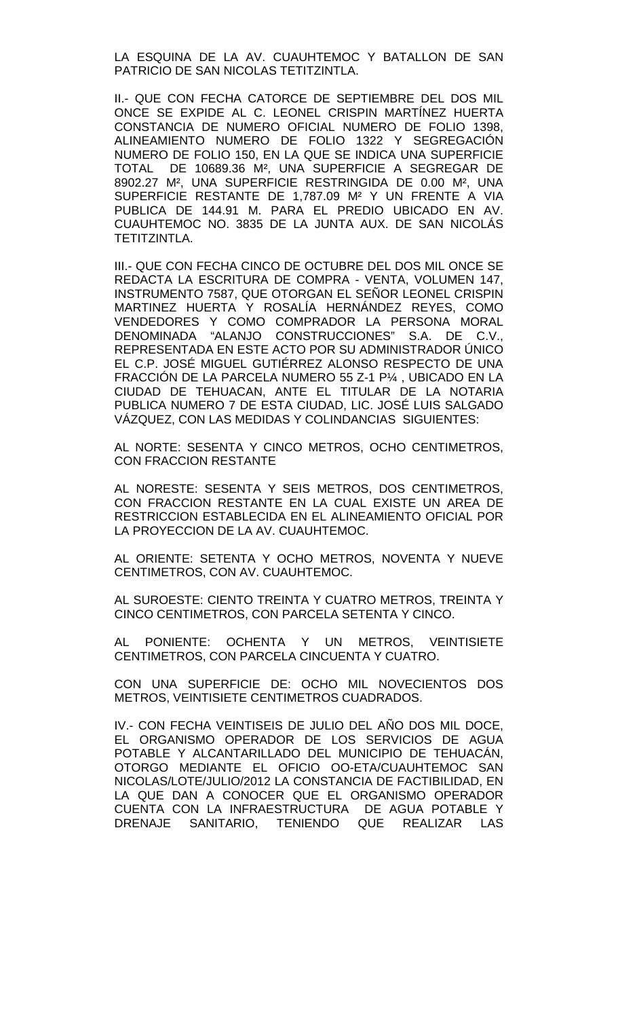LA ESQUINA DE LA AV. CUAUHTEMOC Y BATALLON DE SAN PATRICIO DE SAN NICOLAS TETITZINTLA.

II.- QUE CON FECHA CATORCE DE SEPTIEMBRE DEL DOS MIL ONCE SE EXPIDE AL C. LEONEL CRISPIN MARTÍNEZ HUERTA CONSTANCIA DE NUMERO OFICIAL NUMERO DE FOLIO 1398, ALINEAMIENTO NUMERO DE FOLIO 1322 Y SEGREGACIÓN NUMERO DE FOLIO 150, EN LA QUE SE INDICA UNA SUPERFICIE TOTAL DE 10689.36 M², UNA SUPERFICIE A SEGREGAR DE 8902.27 M², UNA SUPERFICIE RESTRINGIDA DE 0.00 M², UNA SUPERFICIE RESTANTE DE 1,787.09 M² Y UN FRENTE A VIA PUBLICA DE 144.91 M. PARA EL PREDIO UBICADO EN AV. CUAUHTEMOC NO. 3835 DE LA JUNTA AUX. DE SAN NICOLÁS TETITZINTLA.

III.- QUE CON FECHA CINCO DE OCTUBRE DEL DOS MIL ONCE SE REDACTA LA ESCRITURA DE COMPRA - VENTA, VOLUMEN 147, INSTRUMENTO 7587, QUE OTORGAN EL SEÑOR LEONEL CRISPIN MARTINEZ HUERTA Y ROSALÍA HERNÁNDEZ REYES, COMO VENDEDORES Y COMO COMPRADOR LA PERSONA MORAL DENOMINADA "ALANJO CONSTRUCCIONES" S.A. DE C.V., REPRESENTADA EN ESTE ACTO POR SU ADMINISTRADOR ÚNICO EL C.P. JOSÉ MIGUEL GUTIÉRREZ ALONSO RESPECTO DE UNA FRACCIÓN DE LA PARCELA NUMERO 55 Z-1 P¼ , UBICADO EN LA CIUDAD DE TEHUACAN, ANTE EL TITULAR DE LA NOTARIA PUBLICA NUMERO 7 DE ESTA CIUDAD, LIC. JOSÉ LUIS SALGADO VÁZQUEZ, CON LAS MEDIDAS Y COLINDANCIAS SIGUIENTES:

AL NORTE: SESENTA Y CINCO METROS, OCHO CENTIMETROS, CON FRACCION RESTANTE

AL NORESTE: SESENTA Y SEIS METROS, DOS CENTIMETROS, CON FRACCION RESTANTE EN LA CUAL EXISTE UN AREA DE RESTRICCION ESTABLECIDA EN EL ALINEAMIENTO OFICIAL POR LA PROYECCION DE LA AV. CUAUHTEMOC.

AL ORIENTE: SETENTA Y OCHO METROS, NOVENTA Y NUEVE CENTIMETROS, CON AV. CUAUHTEMOC.

AL SUROESTE: CIENTO TREINTA Y CUATRO METROS, TREINTA Y CINCO CENTIMETROS, CON PARCELA SETENTA Y CINCO.

AL PONIENTE: OCHENTA Y UN METROS, VEINTISIETE CENTIMETROS, CON PARCELA CINCUENTA Y CUATRO.

CON UNA SUPERFICIE DE: OCHO MIL NOVECIENTOS DOS METROS, VEINTISIETE CENTIMETROS CUADRADOS.

IV.- CON FECHA VEINTISEIS DE JULIO DEL AÑO DOS MIL DOCE, EL ORGANISMO OPERADOR DE LOS SERVICIOS DE AGUA POTABLE Y ALCANTARILLADO DEL MUNICIPIO DE TEHUACÁN, OTORGO MEDIANTE EL OFICIO OO-ETA/CUAUHTEMOC SAN NICOLAS/LOTE/JULIO/2012 LA CONSTANCIA DE FACTIBILIDAD, EN LA QUE DAN A CONOCER QUE EL ORGANISMO OPERADOR CUENTA CON LA INFRAESTRUCTURA DE AGUA POTABLE Y DRENAJE SANITARIO, TENIENDO QUE REALIZAR LAS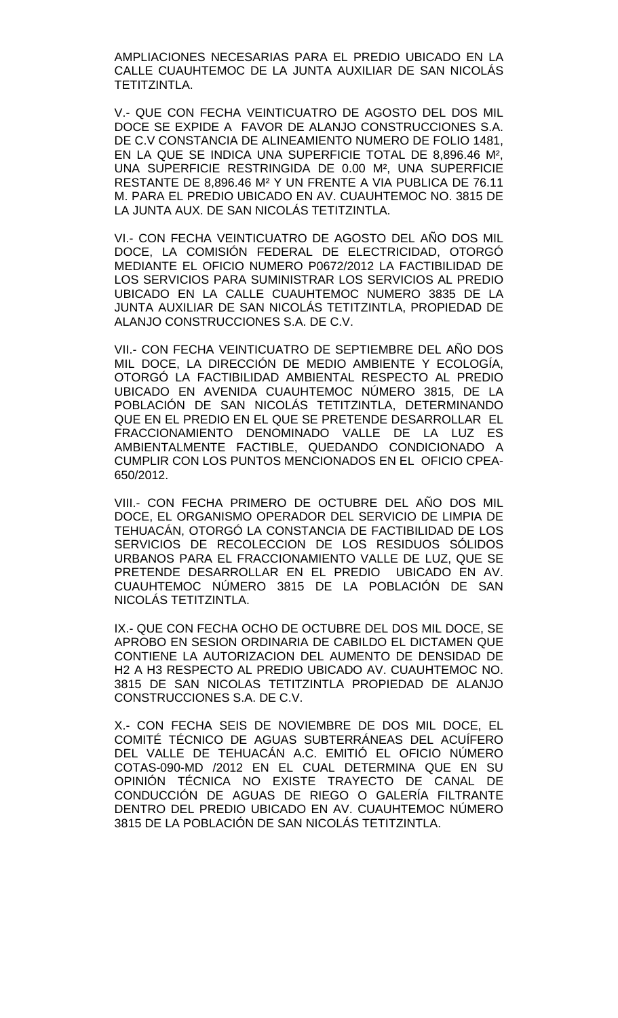AMPLIACIONES NECESARIAS PARA EL PREDIO UBICADO EN LA CALLE CUAUHTEMOC DE LA JUNTA AUXILIAR DE SAN NICOLÁS TETITZINTLA.

V.- QUE CON FECHA VEINTICUATRO DE AGOSTO DEL DOS MIL DOCE SE EXPIDE A FAVOR DE ALANJO CONSTRUCCIONES S.A. DE C.V CONSTANCIA DE ALINEAMIENTO NUMERO DE FOLIO 1481, EN LA QUE SE INDICA UNA SUPERFICIE TOTAL DE 8,896.46 M², UNA SUPERFICIE RESTRINGIDA DE 0.00 M², UNA SUPERFICIE RESTANTE DE 8,896.46 M² Y UN FRENTE A VIA PUBLICA DE 76.11 M. PARA EL PREDIO UBICADO EN AV. CUAUHTEMOC NO. 3815 DE LA JUNTA AUX. DE SAN NICOLÁS TETITZINTLA.

VI.- CON FECHA VEINTICUATRO DE AGOSTO DEL AÑO DOS MIL DOCE, LA COMISIÓN FEDERAL DE ELECTRICIDAD, OTORGÓ MEDIANTE EL OFICIO NUMERO P0672/2012 LA FACTIBILIDAD DE LOS SERVICIOS PARA SUMINISTRAR LOS SERVICIOS AL PREDIO UBICADO EN LA CALLE CUAUHTEMOC NUMERO 3835 DE LA JUNTA AUXILIAR DE SAN NICOLÁS TETITZINTLA, PROPIEDAD DE ALANJO CONSTRUCCIONES S.A. DE C.V.

VII.- CON FECHA VEINTICUATRO DE SEPTIEMBRE DEL AÑO DOS MIL DOCE, LA DIRECCIÓN DE MEDIO AMBIENTE Y ECOLOGÍA, OTORGÓ LA FACTIBILIDAD AMBIENTAL RESPECTO AL PREDIO UBICADO EN AVENIDA CUAUHTEMOC NÚMERO 3815, DE LA POBLACIÓN DE SAN NICOLÁS TETITZINTLA, DETERMINANDO QUE EN EL PREDIO EN EL QUE SE PRETENDE DESARROLLAR EL FRACCIONAMIENTO DENOMINADO VALLE DE LA LUZ ES AMBIENTALMENTE FACTIBLE, QUEDANDO CONDICIONADO A CUMPLIR CON LOS PUNTOS MENCIONADOS EN EL OFICIO CPEA-650/2012.

VIII.- CON FECHA PRIMERO DE OCTUBRE DEL AÑO DOS MIL DOCE, EL ORGANISMO OPERADOR DEL SERVICIO DE LIMPIA DE TEHUACÁN, OTORGÓ LA CONSTANCIA DE FACTIBILIDAD DE LOS SERVICIOS DE RECOLECCION DE LOS RESIDUOS SÓLIDOS URBANOS PARA EL FRACCIONAMIENTO VALLE DE LUZ, QUE SE PRETENDE DESARROLLAR EN EL PREDIO UBICADO EN AV. CUAUHTEMOC NÚMERO 3815 DE LA POBLACIÓN DE SAN NICOLÁS TETITZINTLA.

IX.- QUE CON FECHA OCHO DE OCTUBRE DEL DOS MIL DOCE, SE APROBO EN SESION ORDINARIA DE CABILDO EL DICTAMEN QUE CONTIENE LA AUTORIZACION DEL AUMENTO DE DENSIDAD DE H2 A H3 RESPECTO AL PREDIO UBICADO AV. CUAUHTEMOC NO. 3815 DE SAN NICOLAS TETITZINTLA PROPIEDAD DE ALANJO CONSTRUCCIONES S.A. DE C.V.

X.- CON FECHA SEIS DE NOVIEMBRE DE DOS MIL DOCE, EL COMITÉ TÉCNICO DE AGUAS SUBTERRÁNEAS DEL ACUÍFERO DEL VALLE DE TEHUACÁN A.C. EMITIÓ EL OFICIO NÚMERO COTAS-090-MD /2012 EN EL CUAL DETERMINA QUE EN SU OPINIÓN TÉCNICA NO EXISTE TRAYECTO DE CANAL DE CONDUCCIÓN DE AGUAS DE RIEGO O GALERÍA FILTRANTE DENTRO DEL PREDIO UBICADO EN AV. CUAUHTEMOC NÚMERO 3815 DE LA POBLACIÓN DE SAN NICOLÁS TETITZINTLA.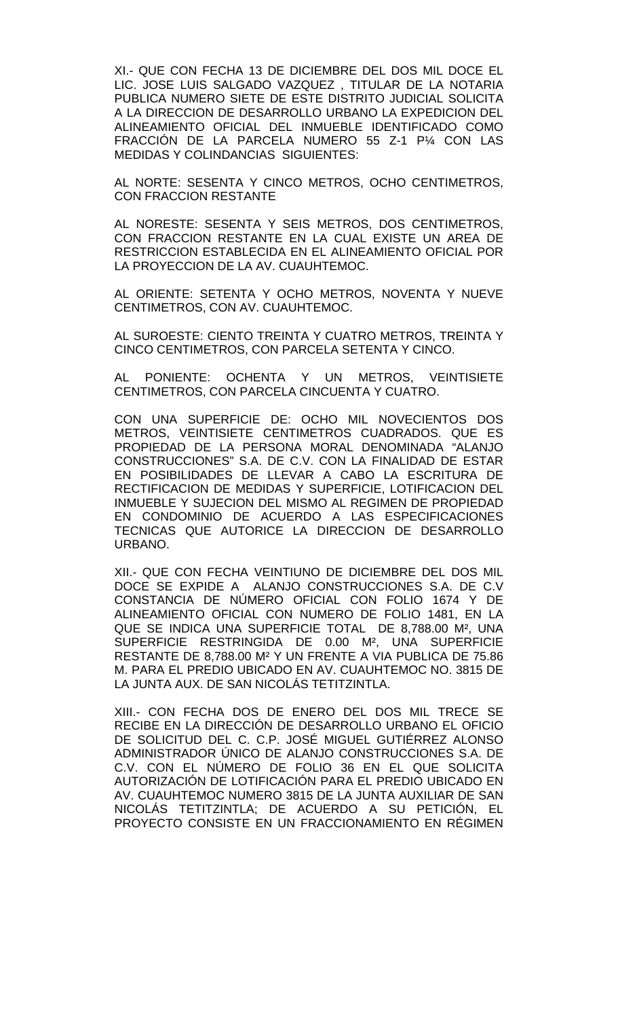XI.- QUE CON FECHA 13 DE DICIEMBRE DEL DOS MIL DOCE EL LIC. JOSE LUIS SALGADO VAZQUEZ , TITULAR DE LA NOTARIA PUBLICA NUMERO SIETE DE ESTE DISTRITO JUDICIAL SOLICITA A LA DIRECCION DE DESARROLLO URBANO LA EXPEDICION DEL ALINEAMIENTO OFICIAL DEL INMUEBLE IDENTIFICADO COMO FRACCIÓN DE LA PARCELA NUMERO 55 Z-1 P¼ CON LAS MEDIDAS Y COLINDANCIAS SIGUIENTES:

AL NORTE: SESENTA Y CINCO METROS, OCHO CENTIMETROS, CON FRACCION RESTANTE

AL NORESTE: SESENTA Y SEIS METROS, DOS CENTIMETROS, CON FRACCION RESTANTE EN LA CUAL EXISTE UN AREA DE RESTRICCION ESTABLECIDA EN EL ALINEAMIENTO OFICIAL POR LA PROYECCION DE LA AV. CUAUHTEMOC.

AL ORIENTE: SETENTA Y OCHO METROS, NOVENTA Y NUEVE CENTIMETROS, CON AV. CUAUHTEMOC.

AL SUROESTE: CIENTO TREINTA Y CUATRO METROS, TREINTA Y CINCO CENTIMETROS, CON PARCELA SETENTA Y CINCO.

AL PONIENTE: OCHENTA Y UN METROS, VEINTISIETE CENTIMETROS, CON PARCELA CINCUENTA Y CUATRO.

CON UNA SUPERFICIE DE: OCHO MIL NOVECIENTOS DOS METROS, VEINTISIETE CENTIMETROS CUADRADOS. QUE ES PROPIEDAD DE LA PERSONA MORAL DENOMINADA "ALANJO CONSTRUCCIONES" S.A. DE C.V. CON LA FINALIDAD DE ESTAR EN POSIBILIDADES DE LLEVAR A CABO LA ESCRITURA DE RECTIFICACION DE MEDIDAS Y SUPERFICIE, LOTIFICACION DEL INMUEBLE Y SUJECION DEL MISMO AL REGIMEN DE PROPIEDAD EN CONDOMINIO DE ACUERDO A LAS ESPECIFICACIONES TECNICAS QUE AUTORICE LA DIRECCION DE DESARROLLO URBANO.

XII.- QUE CON FECHA VEINTIUNO DE DICIEMBRE DEL DOS MIL DOCE SE EXPIDE A ALANJO CONSTRUCCIONES S.A. DE C.V CONSTANCIA DE NÚMERO OFICIAL CON FOLIO 1674 Y DE ALINEAMIENTO OFICIAL CON NUMERO DE FOLIO 1481, EN LA QUE SE INDICA UNA SUPERFICIE TOTAL DE 8,788.00 M², UNA SUPERFICIE RESTRINGIDA DE 0.00 M², UNA SUPERFICIE RESTANTE DE 8,788.00 M² Y UN FRENTE A VIA PUBLICA DE 75.86 M. PARA EL PREDIO UBICADO EN AV. CUAUHTEMOC NO. 3815 DE LA JUNTA AUX. DE SAN NICOLÁS TETITZINTLA.

XIII.- CON FECHA DOS DE ENERO DEL DOS MIL TRECE SE RECIBE EN LA DIRECCIÓN DE DESARROLLO URBANO EL OFICIO DE SOLICITUD DEL C. C.P. JOSÉ MIGUEL GUTIÉRREZ ALONSO ADMINISTRADOR ÚNICO DE ALANJO CONSTRUCCIONES S.A. DE C.V. CON EL NÚMERO DE FOLIO 36 EN EL QUE SOLICITA AUTORIZACIÓN DE LOTIFICACIÓN PARA EL PREDIO UBICADO EN AV. CUAUHTEMOC NUMERO 3815 DE LA JUNTA AUXILIAR DE SAN NICOLÁS TETITZINTLA; DE ACUERDO A SU PETICIÓN, EL PROYECTO CONSISTE EN UN FRACCIONAMIENTO EN RÉGIMEN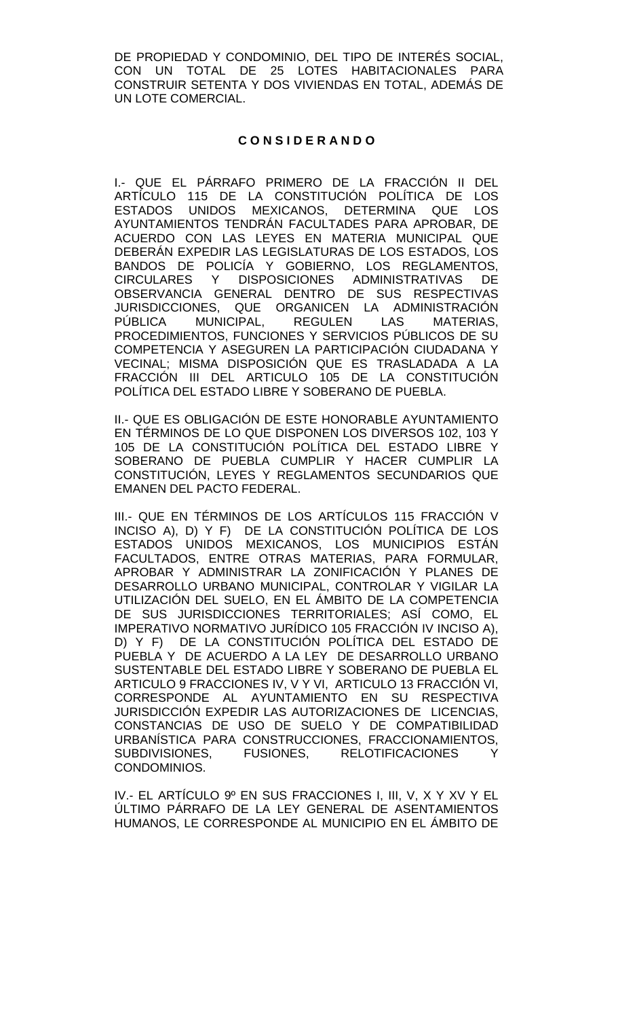DE PROPIEDAD Y CONDOMINIO, DEL TIPO DE INTERÉS SOCIAL, CON UN TOTAL DE 25 LOTES HABITACIONALES PARA CONSTRUIR SETENTA Y DOS VIVIENDAS EN TOTAL, ADEMÁS DE UN LOTE COMERCIAL.

## **C O N S I D E R A N D O**

I.- QUE EL PÁRRAFO PRIMERO DE LA FRACCIÓN II DEL ARTÍCULO 115 DE LA CONSTITUCIÓN POLÍTICA DE LOS ESTADOS UNIDOS MEXICANOS, DETERMINA QUE LOS AYUNTAMIENTOS TENDRÁN FACULTADES PARA APROBAR, DE ACUERDO CON LAS LEYES EN MATERIA MUNICIPAL QUE DEBERÁN EXPEDIR LAS LEGISLATURAS DE LOS ESTADOS, LOS BANDOS DE POLICÍA Y GOBIERNO, LOS REGLAMENTOS, CIRCULARES Y DISPOSICIONES ADMINISTRATIVAS DE OBSERVANCIA GENERAL DENTRO DE SUS RESPECTIVAS JURISDICCIONES, QUE ORGANICEN LA ADMINISTRACIÓN<br>PÚBLICA MUNICIPAL. REGULEN LAS MATERIAS. PÚBLICA MUNICIPAL, REGULEN LAS MATERIAS, PROCEDIMIENTOS, FUNCIONES Y SERVICIOS PÚBLICOS DE SU COMPETENCIA Y ASEGUREN LA PARTICIPACIÓN CIUDADANA Y VECINAL; MISMA DISPOSICIÓN QUE ES TRASLADADA A LA FRACCIÓN III DEL ARTICULO 105 DE LA CONSTITUCIÓN POLÍTICA DEL ESTADO LIBRE Y SOBERANO DE PUEBLA.

II.- QUE ES OBLIGACIÓN DE ESTE HONORABLE AYUNTAMIENTO EN TÉRMINOS DE LO QUE DISPONEN LOS DIVERSOS 102, 103 Y 105 DE LA CONSTITUCIÓN POLÍTICA DEL ESTADO LIBRE Y SOBERANO DE PUEBLA CUMPLIR Y HACER CUMPLIR LA CONSTITUCIÓN, LEYES Y REGLAMENTOS SECUNDARIOS QUE EMANEN DEL PACTO FEDERAL.

III.- QUE EN TÉRMINOS DE LOS ARTÍCULOS 115 FRACCIÓN V INCISO A), D) Y F) DE LA CONSTITUCIÓN POLÍTICA DE LOS ESTADOS UNIDOS MEXICANOS, LOS MUNICIPIOS ESTÁN FACULTADOS, ENTRE OTRAS MATERIAS, PARA FORMULAR, APROBAR Y ADMINISTRAR LA ZONIFICACIÓN Y PLANES DE DESARROLLO URBANO MUNICIPAL, CONTROLAR Y VIGILAR LA UTILIZACIÓN DEL SUELO, EN EL ÁMBITO DE LA COMPETENCIA DE SUS JURISDICCIONES TERRITORIALES; ASÍ COMO, EL IMPERATIVO NORMATIVO JURÍDICO 105 FRACCIÓN IV INCISO A), D) Y F) DE LA CONSTITUCIÓN POLÍTICA DEL ESTADO DE PUEBLA Y DE ACUERDO A LA LEY DE DESARROLLO URBANO SUSTENTABLE DEL ESTADO LIBRE Y SOBERANO DE PUEBLA EL ARTICULO 9 FRACCIONES IV, V Y VI, ARTICULO 13 FRACCIÓN VI, CORRESPONDE AL AYUNTAMIENTO EN SU RESPECTIVA JURISDICCIÓN EXPEDIR LAS AUTORIZACIONES DE LICENCIAS, CONSTANCIAS DE USO DE SUELO Y DE COMPATIBILIDAD URBANÍSTICA PARA CONSTRUCCIONES, FRACCIONAMIENTOS, SUBDIVISIONES, FUSIONES, RELOTIFICACIONES CONDOMINIOS.

IV.- EL ARTÍCULO 9º EN SUS FRACCIONES I, III, V, X Y XV Y EL ÚLTIMO PÁRRAFO DE LA LEY GENERAL DE ASENTAMIENTOS HUMANOS, LE CORRESPONDE AL MUNICIPIO EN EL ÁMBITO DE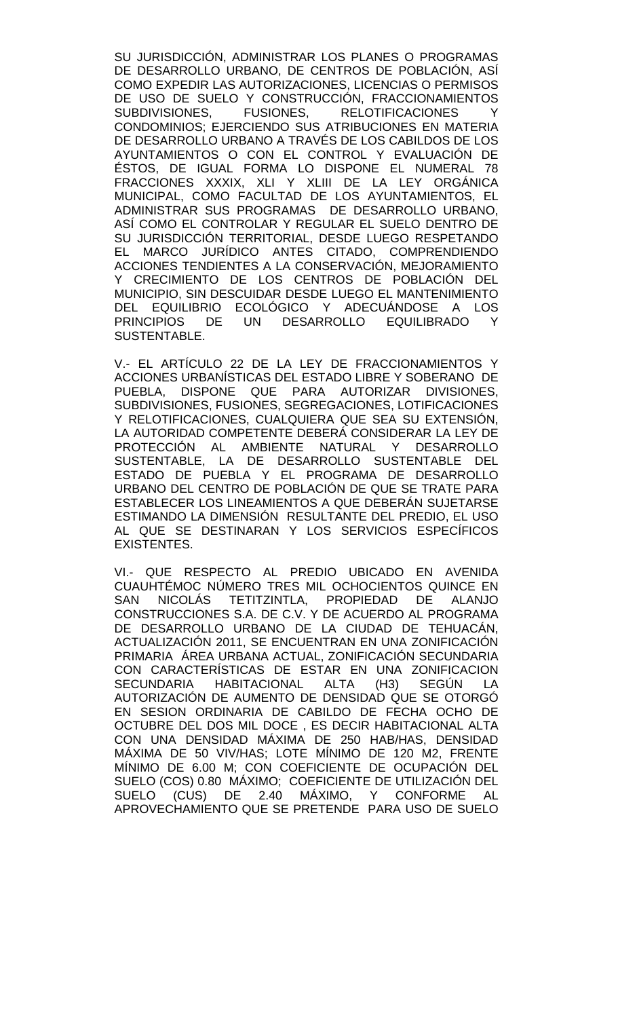SU JURISDICCIÓN, ADMINISTRAR LOS PLANES O PROGRAMAS DE DESARROLLO URBANO, DE CENTROS DE POBLACIÓN, ASÍ COMO EXPEDIR LAS AUTORIZACIONES, LICENCIAS O PERMISOS DE USO DE SUELO Y CONSTRUCCIÓN, FRACCIONAMIENTOS<br>SUBDIVISIONES. FUSIONES. RELOTIFICACIONES Y RELOTIFICACIONES CONDOMINIOS; EJERCIENDO SUS ATRIBUCIONES EN MATERIA DE DESARROLLO URBANO A TRAVÉS DE LOS CABILDOS DE LOS AYUNTAMIENTOS O CON EL CONTROL Y EVALUACIÓN DE ÉSTOS, DE IGUAL FORMA LO DISPONE EL NUMERAL 78 FRACCIONES XXXIX, XLI Y XLIII DE LA LEY ORGÁNICA MUNICIPAL, COMO FACULTAD DE LOS AYUNTAMIENTOS, EL ADMINISTRAR SUS PROGRAMAS DE DESARROLLO URBANO, ASÍ COMO EL CONTROLAR Y REGULAR EL SUELO DENTRO DE SU JURISDICCIÓN TERRITORIAL, DESDE LUEGO RESPETANDO EL MARCO JURÍDICO ANTES CITADO, COMPRENDIENDO ACCIONES TENDIENTES A LA CONSERVACIÓN, MEJORAMIENTO Y CRECIMIENTO DE LOS CENTROS DE POBLACIÓN DEL MUNICIPIO, SIN DESCUIDAR DESDE LUEGO EL MANTENIMIENTO DEL EQUILIBRIO ECOLÓGICO Y ADECUÁNDOSE A LOS PRINCIPIOS DE UN DESARROLLO EQUILIBRADO Y SUSTENTABLE.

V.- EL ARTÍCULO 22 DE LA LEY DE FRACCIONAMIENTOS Y ACCIONES URBANÍSTICAS DEL ESTADO LIBRE Y SOBERANO DE PUEBLA, DISPONE QUE PARA AUTORIZAR DIVISIONES, SUBDIVISIONES, FUSIONES, SEGREGACIONES, LOTIFICACIONES Y RELOTIFICACIONES, CUALQUIERA QUE SEA SU EXTENSIÓN, LA AUTORIDAD COMPETENTE DEBERÁ CONSIDERAR LA LEY DE PROTECCIÓN AL AMBIENTE NATURAL Y DESARROLLO SUSTENTABLE, LA DE DESARROLLO SUSTENTABLE DEL ESTADO DE PUEBLA Y EL PROGRAMA DE DESARROLLO URBANO DEL CENTRO DE POBLACIÓN DE QUE SE TRATE PARA ESTABLECER LOS LINEAMIENTOS A QUE DEBERÁN SUJETARSE ESTIMANDO LA DIMENSIÓN RESULTANTE DEL PREDIO, EL USO AL QUE SE DESTINARAN Y LOS SERVICIOS ESPECÍFICOS EXISTENTES.

VI.- QUE RESPECTO AL PREDIO UBICADO EN AVENIDA CUAUHTÉMOC NÚMERO TRES MIL OCHOCIENTOS QUINCE EN SAN NICOLÁS TETITZINTLA, PROPIEDAD DE ALANJO CONSTRUCCIONES S.A. DE C.V. Y DE ACUERDO AL PROGRAMA DE DESARROLLO URBANO DE LA CIUDAD DE TEHUACÁN, ACTUALIZACIÓN 2011, SE ENCUENTRAN EN UNA ZONIFICACIÓN PRIMARIA ÁREA URBANA ACTUAL, ZONIFICACIÓN SECUNDARIA CON CARACTERÍSTICAS DE ESTAR EN UNA ZONIFICACION SECUNDARIA HABITACIONAL ALTA (H3) SEGÚN LA AUTORIZACIÓN DE AUMENTO DE DENSIDAD QUE SE OTORGÓ EN SESION ORDINARIA DE CABILDO DE FECHA OCHO DE OCTUBRE DEL DOS MIL DOCE , ES DECIR HABITACIONAL ALTA CON UNA DENSIDAD MÁXIMA DE 250 HAB/HAS, DENSIDAD MÁXIMA DE 50 VIV/HAS; LOTE MÍNIMO DE 120 M2, FRENTE MÍNIMO DE 6.00 M; CON COEFICIENTE DE OCUPACIÓN DEL SUELO (COS) 0.80 MÁXIMO; COEFICIENTE DE UTILIZACIÓN DEL SUELO (CUS) DE 2.40 MÁXIMO, Y CONFORME AL APROVECHAMIENTO QUE SE PRETENDE PARA USO DE SUELO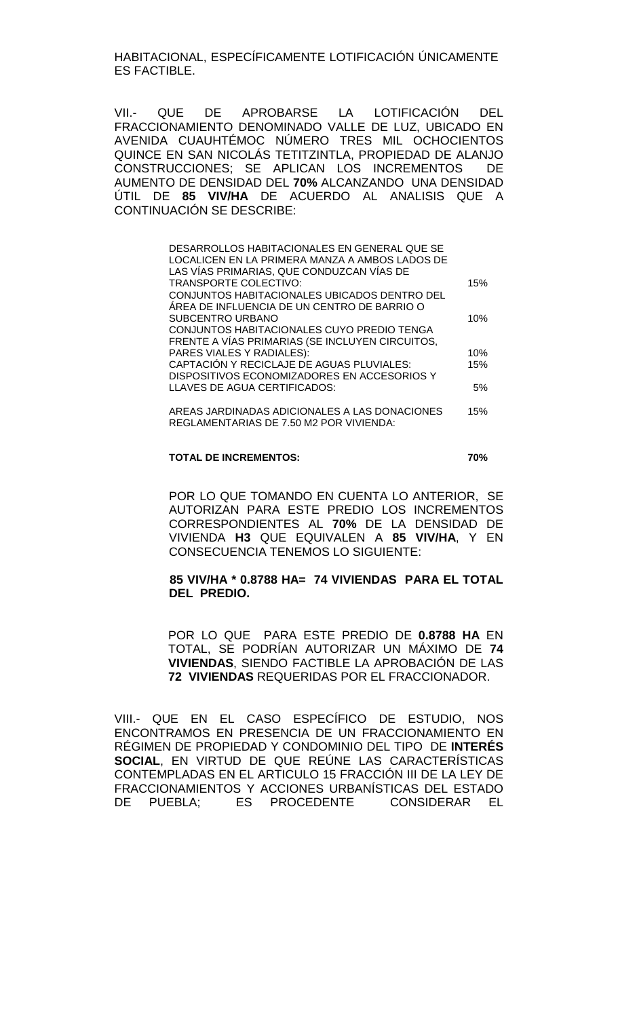HABITACIONAL, ESPECÍFICAMENTE LOTIFICACIÓN ÚNICAMENTE ES FACTIBLE.

VII.- QUE DE APROBARSE LA LOTIFICACIÓN DEL FRACCIONAMIENTO DENOMINADO VALLE DE LUZ, UBICADO EN AVENIDA CUAUHTÉMOC NÚMERO TRES MIL OCHOCIENTOS QUINCE EN SAN NICOLÁS TETITZINTLA, PROPIEDAD DE ALANJO CONSTRUCCIONES; SE APLICAN LOS INCREMENTOS DE AUMENTO DE DENSIDAD DEL **70%** ALCANZANDO UNA DENSIDAD ÚTIL DE **85 VIV/HA** DE ACUERDO AL ANALISIS QUE A CONTINUACIÓN SE DESCRIBE:

| DESARROLLOS HABITACIONALES EN GENERAL QUE SE    |     |
|-------------------------------------------------|-----|
| LOCALICEN EN LA PRIMERA MANZA A AMBOS LADOS DE  |     |
| LAS VÍAS PRIMARIAS, QUE CONDUZCAN VÍAS DE       |     |
| TRANSPORTE COLECTIVO:                           | 15% |
| CONJUNTOS HABITACIONALES UBICADOS DENTRO DEL    |     |
| ÀREA DE INFLUENCIA DE UN CENTRO DE BARRIO O     |     |
| <b>SUBCENTRO URBANO</b>                         | 10% |
| CONJUNTOS HABITACIONALES CUYO PREDIO TENGA      |     |
| FRENTE A VÍAS PRIMARIAS (SE INCLUYEN CIRCUITOS, |     |
| PARES VIALES Y RADIALES):                       | 10% |
| CAPTACIÓN Y RECICLAJE DE AGUAS PLUVIALES:       | 15% |
| DISPOSITIVOS ECONOMIZADORES EN ACCESORIOS Y     |     |
| LLAVES DE AGUA CERTIFICADOS:                    | 5%  |
|                                                 |     |
| AREAS IARDINADAS ADICIONALES A LAS DONACIONES   | 15% |

AREAS JARDINADAS ADICIONALES A LAS DONACIONES REGLAMENTARIAS DE 7.50 M2 POR VIVIENDA: 15%

#### **TOTAL DE INCREMENTOS: 70%**

POR LO QUE TOMANDO EN CUENTA LO ANTERIOR, SE AUTORIZAN PARA ESTE PREDIO LOS INCREMENTOS CORRESPONDIENTES AL **70%** DE LA DENSIDAD DE VIVIENDA **H3** QUE EQUIVALEN A **85 VIV/HA**, Y EN CONSECUENCIA TENEMOS LO SIGUIENTE:

### **85 VIV/HA \* 0.8788 HA= 74 VIVIENDAS PARA EL TOTAL DEL PREDIO.**

POR LO QUE PARA ESTE PREDIO DE **0.8788 HA** EN TOTAL, SE PODRÍAN AUTORIZAR UN MÁXIMO DE **74 VIVIENDAS**, SIENDO FACTIBLE LA APROBACIÓN DE LAS **72 VIVIENDAS** REQUERIDAS POR EL FRACCIONADOR.

VIII.- QUE EN EL CASO ESPECÍFICO DE ESTUDIO, NOS ENCONTRAMOS EN PRESENCIA DE UN FRACCIONAMIENTO EN RÉGIMEN DE PROPIEDAD Y CONDOMINIO DEL TIPO DE **INTERÉS SOCIAL**, EN VIRTUD DE QUE REÚNE LAS CARACTERÍSTICAS CONTEMPLADAS EN EL ARTICULO 15 FRACCIÓN III DE LA LEY DE FRACCIONAMIENTOS Y ACCIONES URBANÍSTICAS DEL ESTADO DE PUEBLA; ES PROCEDENTE CONSIDERAR EL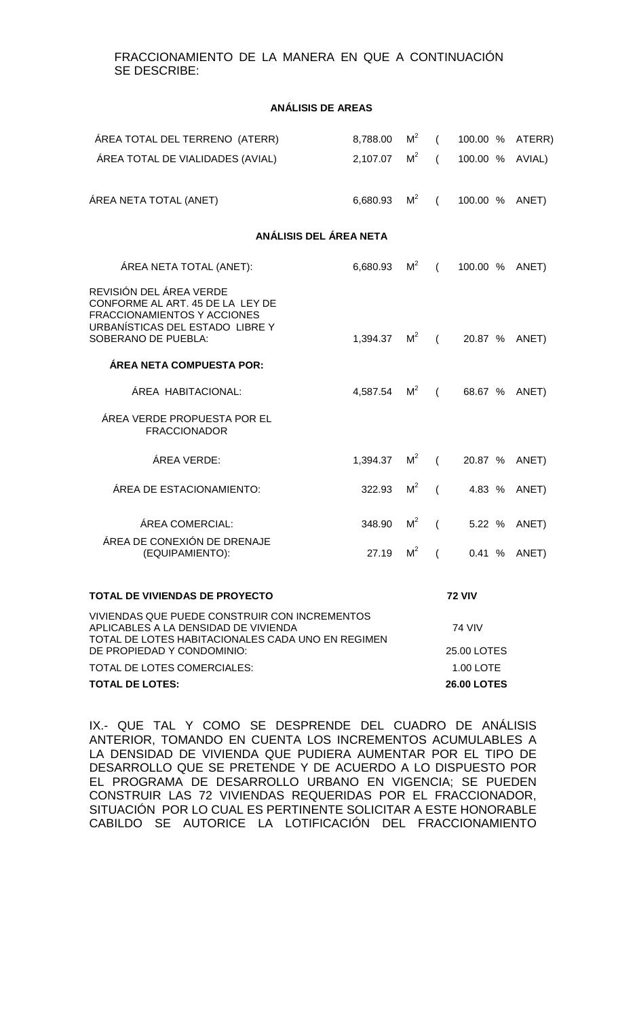# FRACCIONAMIENTO DE LA MANERA EN QUE A CONTINUACIÓN SE DESCRIBE:

#### **ANÁLISIS DE AREAS**

| ÁREA TOTAL DEL TERRENO (ATERR)                                                                                                                                           | 8,788.00 | $M^2$          | $\sqrt{2}$     | 100.00 %        | ATERR) |  |  |
|--------------------------------------------------------------------------------------------------------------------------------------------------------------------------|----------|----------------|----------------|-----------------|--------|--|--|
| ÁREA TOTAL DE VIALIDADES (AVIAL)                                                                                                                                         | 2,107.07 | M <sup>2</sup> | $\sqrt{2}$     | 100.00 % AVIAL) |        |  |  |
|                                                                                                                                                                          |          |                |                |                 |        |  |  |
| ÁREA NETA TOTAL (ANET)                                                                                                                                                   | 6,680.93 | M <sup>2</sup> | $\sqrt{2}$     | 100.00 %        | ANET)  |  |  |
| ANÁLISIS DEL ÁREA NETA                                                                                                                                                   |          |                |                |                 |        |  |  |
| ÁREA NETA TOTAL (ANET):                                                                                                                                                  | 6,680.93 | M <sup>2</sup> | $\sqrt{2}$     | 100.00 %        | ANET)  |  |  |
| REVISIÓN DEL ÁREA VERDE<br>CONFORME AL ART. 45 DE LA LEY DE<br>FRACCIONAMIENTOS Y ACCIONES<br>URBANÍSTICAS DEL ESTADO LIBRE Y<br>SOBERANO DE PUEBLA:                     | 1,394.37 | $M^2$ (        |                | 20.87 %         | ANET)  |  |  |
| ÁREA NETA COMPUESTA POR:                                                                                                                                                 |          |                |                |                 |        |  |  |
| ÁREA HABITACIONAL:                                                                                                                                                       | 4,587.54 | $M^2$ (        |                | 68.67 %         | ANET)  |  |  |
| ÁREA VERDE PROPUESTA POR EL<br><b>FRACCIONADOR</b>                                                                                                                       |          |                |                |                 |        |  |  |
| ÁREA VERDE:                                                                                                                                                              | 1,394.37 | $M^2$          | $\sqrt{2}$     | 20.87 %         | ANET)  |  |  |
| ÁREA DE ESTACIONAMIENTO:                                                                                                                                                 | 322.93   | M <sup>2</sup> | $\sqrt{ }$     | 4.83 %          | ANET)  |  |  |
| ÁREA COMERCIAL:                                                                                                                                                          | 348.90   | M <sup>2</sup> | $\sqrt{2}$     | 5.22 %          | ANET)  |  |  |
| ÁREA DE CONEXIÓN DE DRENAJE<br>(EQUIPAMIENTO):                                                                                                                           | 27.19    | M <sup>2</sup> | $\overline{ }$ | 0.41%           | ANET)  |  |  |
| TOTAL DE VIVIENDAS DE PROYECTO                                                                                                                                           |          |                |                | <b>72 VIV</b>   |        |  |  |
| VIVIENDAS QUE PUEDE CONSTRUIR CON INCREMENTOS<br>APLICABLES A LA DENSIDAD DE VIVIENDA<br>TOTAL DE LOTES HABITACIONALES CADA UNO EN REGIMEN<br>DE PROPIEDAD Y CONDOMINIO: |          |                |                | 74 VIV          |        |  |  |
|                                                                                                                                                                          |          |                |                | 25.00 LOTES     |        |  |  |
| <b>TOTAL DE LOTES COMERCIALES:</b>                                                                                                                                       |          |                | 1.00 LOTE      |                 |        |  |  |

**TOTAL DE LOTES: 26.00 LOTES**

IX.- QUE TAL Y COMO SE DESPRENDE DEL CUADRO DE ANÁLISIS ANTERIOR, TOMANDO EN CUENTA LOS INCREMENTOS ACUMULABLES A LA DENSIDAD DE VIVIENDA QUE PUDIERA AUMENTAR POR EL TIPO DE DESARROLLO QUE SE PRETENDE Y DE ACUERDO A LO DISPUESTO POR EL PROGRAMA DE DESARROLLO URBANO EN VIGENCIA; SE PUEDEN CONSTRUIR LAS 72 VIVIENDAS REQUERIDAS POR EL FRACCIONADOR, SITUACIÓN POR LO CUAL ES PERTINENTE SOLICITAR A ESTE HONORABLE CABILDO SE AUTORICE LA LOTIFICACIÓN DEL FRACCIONAMIENTO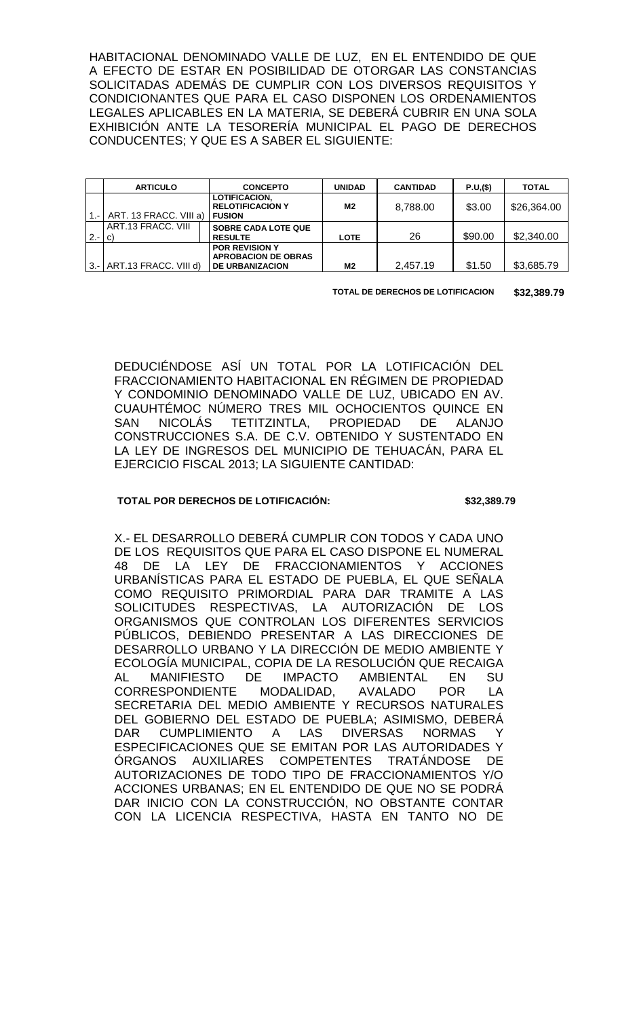HABITACIONAL DENOMINADO VALLE DE LUZ, EN EL ENTENDIDO DE QUE A EFECTO DE ESTAR EN POSIBILIDAD DE OTORGAR LAS CONSTANCIAS SOLICITADAS ADEMÁS DE CUMPLIR CON LOS DIVERSOS REQUISITOS Y CONDICIONANTES QUE PARA EL CASO DISPONEN LOS ORDENAMIENTOS LEGALES APLICABLES EN LA MATERIA, SE DEBERÁ CUBRIR EN UNA SOLA EXHIBICIÓN ANTE LA TESORERÍA MUNICIPAL EL PAGO DE DERECHOS CONDUCENTES; Y QUE ES A SABER EL SIGUIENTE:

|         | <b>ARTICULO</b>           | <b>CONCEPTO</b>                                             | <b>UNIDAD</b> | <b>CANTIDAD</b> | P.U,(\$) | <b>TOTAL</b> |
|---------|---------------------------|-------------------------------------------------------------|---------------|-----------------|----------|--------------|
|         | ART. 13 FRACC. VIII a)    | LOTIFICACION.<br><b>RELOTIFICACION Y</b><br><b>I FUSION</b> | M2            | 8.788.00        | \$3.00   | \$26,364.00  |
|         |                           |                                                             |               |                 |          |              |
|         | ART.13 FRACC. VIII        | <b>SOBRE CADA LOTE QUE</b>                                  |               |                 |          |              |
| $2 - 1$ | C)                        | <b>RESULTE</b>                                              | <b>LOTE</b>   | 26              | \$90.00  | \$2,340.00   |
|         |                           | <b>POR REVISION Y</b>                                       |               |                 |          |              |
|         |                           | <b>APROBACION DE OBRAS</b>                                  |               |                 |          |              |
|         | 3.- ART.13 FRACC. VIII d) | <b>DE URBANIZACION</b>                                      | M2            | 2,457.19        | \$1.50   | \$3,685.79   |

**TOTAL DE DERECHOS DE LOTIFICACION \$32,389.79**

DEDUCIÉNDOSE ASÍ UN TOTAL POR LA LOTIFICACIÓN DEL FRACCIONAMIENTO HABITACIONAL EN RÉGIMEN DE PROPIEDAD Y CONDOMINIO DENOMINADO VALLE DE LUZ, UBICADO EN AV. CUAUHTÉMOC NÚMERO TRES MIL OCHOCIENTOS QUINCE EN<br>SAN NICOLÁS TETITZINTLA. PROPIEDAD DE ALANJO SAN NICOLÁS TETITZINTLA, PROPIEDAD CONSTRUCCIONES S.A. DE C.V. OBTENIDO Y SUSTENTADO EN LA LEY DE INGRESOS DEL MUNICIPIO DE TEHUACÁN, PARA EL EJERCICIO FISCAL 2013; LA SIGUIENTE CANTIDAD:

### **TOTAL POR DERECHOS DE LOTIFICACIÓN: \$32,389.79**

X.- EL DESARROLLO DEBERÁ CUMPLIR CON TODOS Y CADA UNO DE LOS REQUISITOS QUE PARA EL CASO DISPONE EL NUMERAL 48 DE LA LEY DE FRACCIONAMIENTOS Y ACCIONES URBANÍSTICAS PARA EL ESTADO DE PUEBLA, EL QUE SEÑALA COMO REQUISITO PRIMORDIAL PARA DAR TRAMITE A LAS SOLICITUDES RESPECTIVAS, LA AUTORIZACIÓN DE LOS ORGANISMOS QUE CONTROLAN LOS DIFERENTES SERVICIOS PÚBLICOS, DEBIENDO PRESENTAR A LAS DIRECCIONES DE DESARROLLO URBANO Y LA DIRECCIÓN DE MEDIO AMBIENTE Y ECOLOGÍA MUNICIPAL, COPIA DE LA RESOLUCIÓN QUE RECAIGA AL MANIFIESTO DE IMPACTO AMBIENTAL EN SU<br>CORRESPONDIENTE MODALIDAD. AVALADO POR LA CORRESPONDIENTE MODALIDAD, AVALADO POR LA SECRETARIA DEL MEDIO AMBIENTE Y RECURSOS NATURALES DEL GOBIERNO DEL ESTADO DE PUEBLA; ASIMISMO, DEBERÁ<br>DAR CUMPLIMIENTO A LAS DIVERSAS NORMAS Y DAR CUMPLIMIENTO A LAS DIVERSAS NORMAS Y ESPECIFICACIONES QUE SE EMITAN POR LAS AUTORIDADES Y ÓRGANOS AUXILIARES COMPETENTES TRATÁNDOSE DE AUTORIZACIONES DE TODO TIPO DE FRACCIONAMIENTOS Y/O ACCIONES URBANAS; EN EL ENTENDIDO DE QUE NO SE PODRÁ DAR INICIO CON LA CONSTRUCCIÓN, NO OBSTANTE CONTAR CON LA LICENCIA RESPECTIVA, HASTA EN TANTO NO DE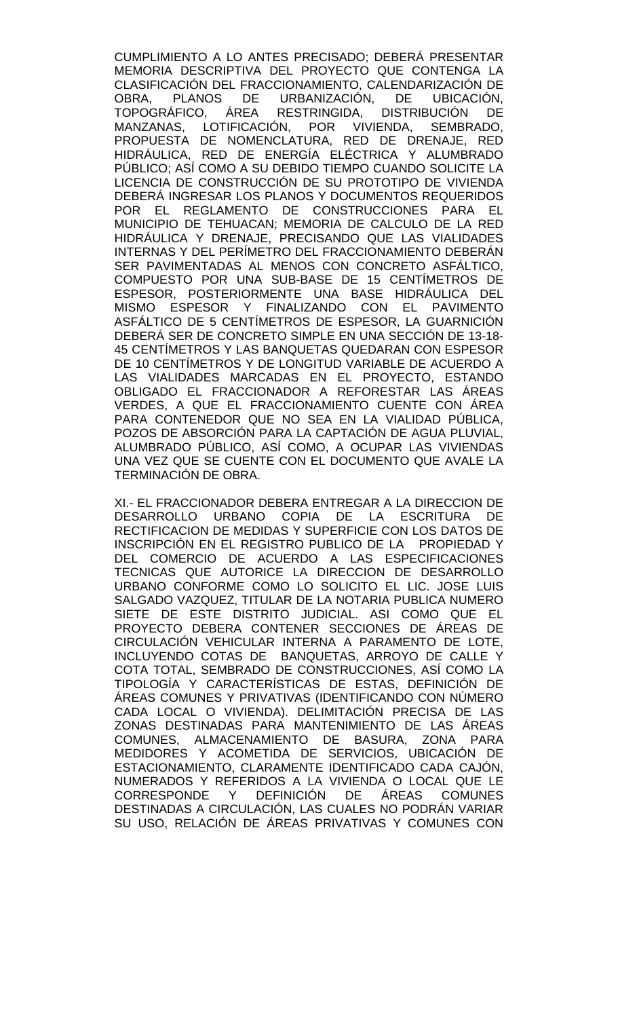CUMPLIMIENTO A LO ANTES PRECISADO; DEBERÁ PRESENTAR MEMORIA DESCRIPTIVA DEL PROYECTO QUE CONTENGA LA CLASIFICACIÓN DEL FRACCIONAMIENTO, CALENDARIZACIÓN DE<br>OBRA. PLANOS DE URBANIZACIÓN. DE UBICACIÓN. OBRA, PLANOS DE URBANIZACIÓN, DE TOPOGRÁFICO, ÁREA RESTRINGIDA, DISTRIBUCIÓN DE MANZANAS, LOTIFICACIÓN, POR VIVIENDA, SEMBRADO, PROPUESTA DE NOMENCLATURA, RED DE DRENAJE, RED HIDRÁULICA, RED DE ENERGÍA ELÉCTRICA Y ALUMBRADO PÚBLICO; ASÍ COMO A SU DEBIDO TIEMPO CUANDO SOLICITE LA LICENCIA DE CONSTRUCCIÓN DE SU PROTOTIPO DE VIVIENDA DEBERÁ INGRESAR LOS PLANOS Y DOCUMENTOS REQUERIDOS POR EL REGLAMENTO DE CONSTRUCCIONES PARA EL MUNICIPIO DE TEHUACAN; MEMORIA DE CALCULO DE LA RED HIDRÁULICA Y DRENAJE, PRECISANDO QUE LAS VIALIDADES INTERNAS Y DEL PERÍMETRO DEL FRACCIONAMIENTO DEBERÁN SER PAVIMENTADAS AL MENOS CON CONCRETO ASFÁLTICO, COMPUESTO POR UNA SUB-BASE DE 15 CENTÍMETROS DE ESPESOR, POSTERIORMENTE UNA BASE HIDRÁULICA DEL MISMO ESPESOR Y FINALIZANDO CON EL PAVIMENTO ASFÁLTICO DE 5 CENTÍMETROS DE ESPESOR, LA GUARNICIÓN DEBERÁ SER DE CONCRETO SIMPLE EN UNA SECCIÓN DE 13-18- 45 CENTÍMETROS Y LAS BANQUETAS QUEDARAN CON ESPESOR DE 10 CENTÍMETROS Y DE LONGITUD VARIABLE DE ACUERDO A LAS VIALIDADES MARCADAS EN EL PROYECTO, ESTANDO OBLIGADO EL FRACCIONADOR A REFORESTAR LAS ÁREAS VERDES, A QUE EL FRACCIONAMIENTO CUENTE CON ÁREA PARA CONTENEDOR QUE NO SEA EN LA VIALIDAD PÚBLICA, POZOS DE ABSORCIÓN PARA LA CAPTACIÓN DE AGUA PLUVIAL, ALUMBRADO PÚBLICO, ASÍ COMO, A OCUPAR LAS VIVIENDAS UNA VEZ QUE SE CUENTE CON EL DOCUMENTO QUE AVALE LA TERMINACIÓN DE OBRA.

XI.- EL FRACCIONADOR DEBERA ENTREGAR A LA DIRECCION DE DESARROLLO URBANO COPIA DE LA ESCRITURA DE RECTIFICACION DE MEDIDAS Y SUPERFICIE CON LOS DATOS DE INSCRIPCIÓN EN EL REGISTRO PUBLICO DE LA PROPIEDAD Y DEL COMERCIO DE ACUERDO A LAS ESPECIFICACIONES TECNICAS QUE AUTORICE LA DIRECCION DE DESARROLLO URBANO CONFORME COMO LO SOLICITO EL LIC. JOSE LUIS SALGADO VAZQUEZ, TITULAR DE LA NOTARIA PUBLICA NUMERO SIETE DE ESTE DISTRITO JUDICIAL. ASI COMO QUE EL PROYECTO DEBERA CONTENER SECCIONES DE ÁREAS DE CIRCULACIÓN VEHICULAR INTERNA A PARAMENTO DE LOTE, INCLUYENDO COTAS DE BANQUETAS, ARROYO DE CALLE Y COTA TOTAL, SEMBRADO DE CONSTRUCCIONES, ASÍ COMO LA TIPOLOGÍA Y CARACTERÍSTICAS DE ESTAS, DEFINICIÓN DE ÁREAS COMUNES Y PRIVATIVAS (IDENTIFICANDO CON NÚMERO CADA LOCAL O VIVIENDA). DELIMITACIÓN PRECISA DE LAS ZONAS DESTINADAS PARA MANTENIMIENTO DE LAS ÁREAS COMUNES, ALMACENAMIENTO DE BASURA, ZONA PARA MEDIDORES Y ACOMETIDA DE SERVICIOS, UBICACIÓN DE ESTACIONAMIENTO, CLARAMENTE IDENTIFICADO CADA CAJÓN, NUMERADOS Y REFERIDOS A LA VIVIENDA O LOCAL QUE LE CORRESPONDE Y DEFINICIÓN DE ÁREAS COMUNES DESTINADAS A CIRCULACIÓN, LAS CUALES NO PODRÁN VARIAR SU USO, RELACIÓN DE ÁREAS PRIVATIVAS Y COMUNES CON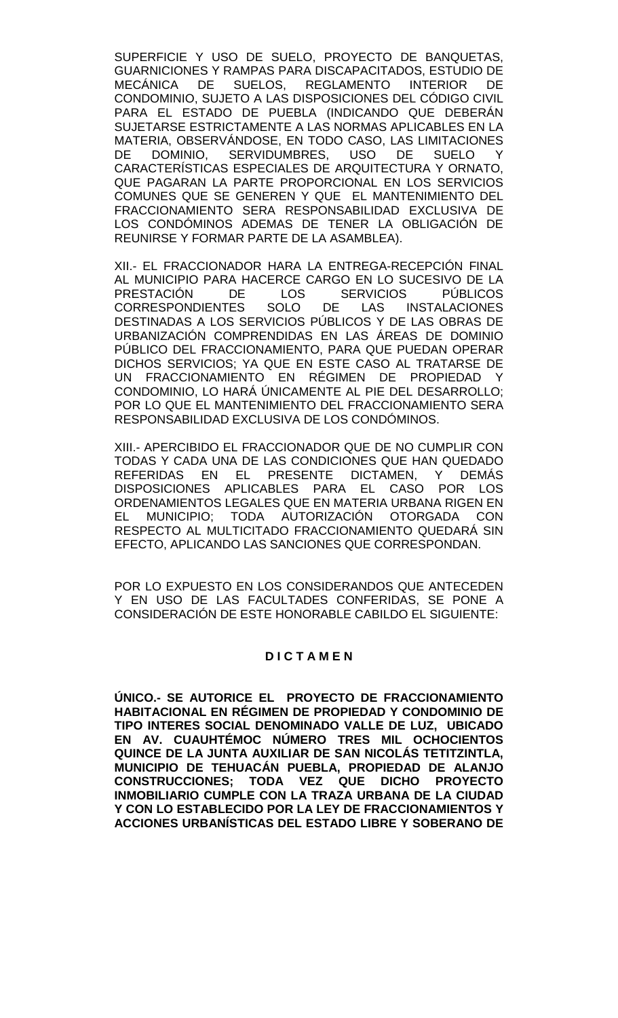SUPERFICIE Y USO DE SUELO, PROYECTO DE BANQUETAS, GUARNICIONES Y RAMPAS PARA DISCAPACITADOS, ESTUDIO DE MECÁNICA DE SUELOS, REGLAMENTO INTERIOR DE CONDOMINIO, SUJETO A LAS DISPOSICIONES DEL CÓDIGO CIVIL PARA EL ESTADO DE PUEBLA (INDICANDO QUE DEBERÁN SUJETARSE ESTRICTAMENTE A LAS NORMAS APLICABLES EN LA MATERIA, OBSERVÁNDOSE, EN TODO CASO, LAS LIMITACIONES DE DOMINIO, SERVIDUMBRES, USO DE SUELO Y CARACTERÍSTICAS ESPECIALES DE ARQUITECTURA Y ORNATO, QUE PAGARAN LA PARTE PROPORCIONAL EN LOS SERVICIOS COMUNES QUE SE GENEREN Y QUE EL MANTENIMIENTO DEL FRACCIONAMIENTO SERA RESPONSABILIDAD EXCLUSIVA DE LOS CONDOMINOS ADEMAS DE TENER LA OBLIGACIÓN DE REUNIRSE Y FORMAR PARTE DE LA ASAMBLEA).

XII.- EL FRACCIONADOR HARA LA ENTREGA-RECEPCIÓN FINAL AL MUNICIPIO PARA HACERCE CARGO EN LO SUCESIVO DE LA<br>PRESTACIÓN DE LOS SERVICIOS PÚBLICOS PRESTACIÓN DE LOS SERVICIOS PÚBLICOS CORRESPONDIENTES SOLO DE LAS INSTALACIONES DESTINADAS A LOS SERVICIOS PÚBLICOS Y DE LAS OBRAS DE URBANIZACIÓN COMPRENDIDAS EN LAS ÁREAS DE DOMINIO PÚBLICO DEL FRACCIONAMIENTO, PARA QUE PUEDAN OPERAR DICHOS SERVICIOS; YA QUE EN ESTE CASO AL TRATARSE DE UN FRACCIONAMIENTO EN RÉGIMEN DE PROPIEDAD Y CONDOMINIO, LO HARÁ ÚNICAMENTE AL PIE DEL DESARROLLO; POR LO QUE EL MANTENIMIENTO DEL FRACCIONAMIENTO SERA RESPONSABILIDAD EXCLUSIVA DE LOS CONDÓMINOS.

XIII.- APERCIBIDO EL FRACCIONADOR QUE DE NO CUMPLIR CON TODAS Y CADA UNA DE LAS CONDICIONES QUE HAN QUEDADO REFERIDAS EN EL PRESENTE DICTAMEN, Y DEMÁS DISPOSICIONES APLICABLES PARA EL CASO POR LOS ORDENAMIENTOS LEGALES QUE EN MATERIA URBANA RIGEN EN<br>EL MUNICIPIO: TODA AUTORIZACIÓN OTORGADA CON MUNICIPIO; TODA AUTORIZACIÓN OTORGADA CON RESPECTO AL MULTICITADO FRACCIONAMIENTO QUEDARÁ SIN EFECTO, APLICANDO LAS SANCIONES QUE CORRESPONDAN.

POR LO EXPUESTO EN LOS CONSIDERANDOS QUE ANTECEDEN Y EN USO DE LAS FACULTADES CONFERIDAS, SE PONE A CONSIDERACIÓN DE ESTE HONORABLE CABILDO EL SIGUIENTE:

## **D I C T A M E N**

**ÚNICO.- SE AUTORICE EL PROYECTO DE FRACCIONAMIENTO HABITACIONAL EN RÉGIMEN DE PROPIEDAD Y CONDOMINIO DE TIPO INTERES SOCIAL DENOMINADO VALLE DE LUZ, UBICADO EN AV. CUAUHTÉMOC NÚMERO TRES MIL OCHOCIENTOS QUINCE DE LA JUNTA AUXILIAR DE SAN NICOLÁS TETITZINTLA, MUNICIPIO DE TEHUACÁN PUEBLA, PROPIEDAD DE ALANJO CONSTRUCCIONES; TODA VEZ QUE DICHO PROYECTO INMOBILIARIO CUMPLE CON LA TRAZA URBANA DE LA CIUDAD Y CON LO ESTABLECIDO POR LA LEY DE FRACCIONAMIENTOS Y ACCIONES URBANÍSTICAS DEL ESTADO LIBRE Y SOBERANO DE**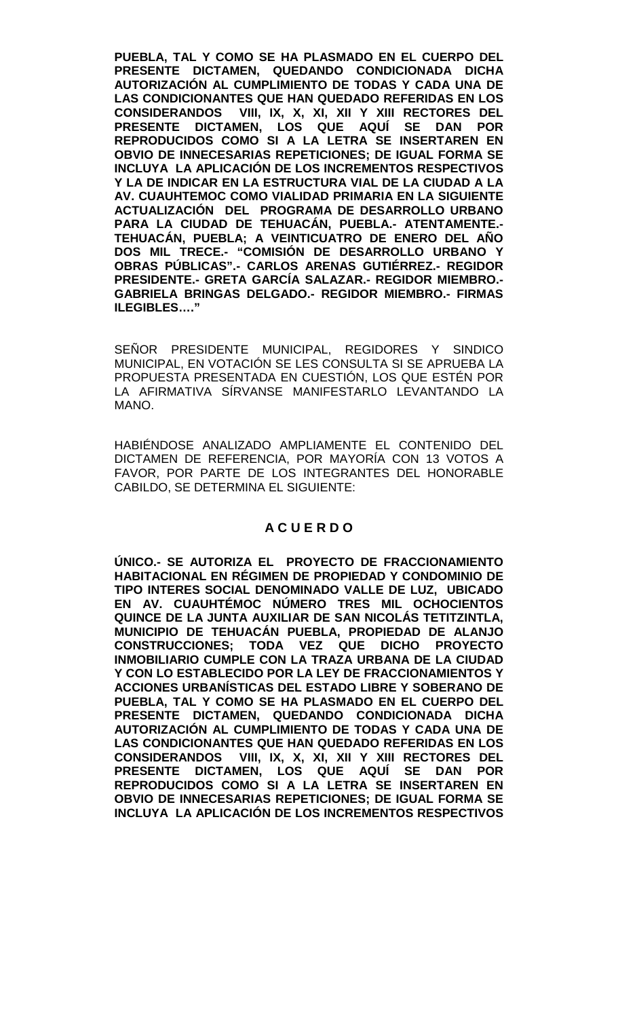**PUEBLA, TAL Y COMO SE HA PLASMADO EN EL CUERPO DEL PRESENTE DICTAMEN, QUEDANDO CONDICIONADA DICHA AUTORIZACIÓN AL CUMPLIMIENTO DE TODAS Y CADA UNA DE LAS CONDICIONANTES QUE HAN QUEDADO REFERIDAS EN LOS CONSIDERANDOS VIII, IX, X, XI, XII Y XIII RECTORES DEL PRESENTE DICTAMEN, LOS QUE AQUÍ SE DAN POR REPRODUCIDOS COMO SI A LA LETRA SE INSERTAREN EN OBVIO DE INNECESARIAS REPETICIONES; DE IGUAL FORMA SE INCLUYA LA APLICACIÓN DE LOS INCREMENTOS RESPECTIVOS Y LA DE INDICAR EN LA ESTRUCTURA VIAL DE LA CIUDAD A LA AV. CUAUHTEMOC COMO VIALIDAD PRIMARIA EN LA SIGUIENTE ACTUALIZACIÓN DEL PROGRAMA DE DESARROLLO URBANO PARA LA CIUDAD DE TEHUACÁN, PUEBLA.- ATENTAMENTE.- TEHUACÁN, PUEBLA; A VEINTICUATRO DE ENERO DEL AÑO DOS MIL TRECE.- "COMISIÓN DE DESARROLLO URBANO Y OBRAS PÚBLICAS".- CARLOS ARENAS GUTIÉRREZ.- REGIDOR PRESIDENTE.- GRETA GARCÍA SALAZAR.- REGIDOR MIEMBRO.- GABRIELA BRINGAS DELGADO.- REGIDOR MIEMBRO.- FIRMAS ILEGIBLES…."**

SEÑOR PRESIDENTE MUNICIPAL, REGIDORES Y SINDICO MUNICIPAL, EN VOTACIÓN SE LES CONSULTA SI SE APRUEBA LA PROPUESTA PRESENTADA EN CUESTIÓN, LOS QUE ESTÉN POR LA AFIRMATIVA SÍRVANSE MANIFESTARLO LEVANTANDO LA MANO.

HABIÉNDOSE ANALIZADO AMPLIAMENTE EL CONTENIDO DEL DICTAMEN DE REFERENCIA, POR MAYORÍA CON 13 VOTOS A FAVOR, POR PARTE DE LOS INTEGRANTES DEL HONORABLE CABILDO, SE DETERMINA EL SIGUIENTE:

# **A C U E R D O**

**ÚNICO.- SE AUTORIZA EL PROYECTO DE FRACCIONAMIENTO HABITACIONAL EN RÉGIMEN DE PROPIEDAD Y CONDOMINIO DE TIPO INTERES SOCIAL DENOMINADO VALLE DE LUZ, UBICADO EN AV. CUAUHTÉMOC NÚMERO TRES MIL OCHOCIENTOS QUINCE DE LA JUNTA AUXILIAR DE SAN NICOLÁS TETITZINTLA, MUNICIPIO DE TEHUACÁN PUEBLA, PROPIEDAD DE ALANJO CONSTRUCCIONES; TODA VEZ QUE DICHO PROYECTO INMOBILIARIO CUMPLE CON LA TRAZA URBANA DE LA CIUDAD Y CON LO ESTABLECIDO POR LA LEY DE FRACCIONAMIENTOS Y ACCIONES URBANÍSTICAS DEL ESTADO LIBRE Y SOBERANO DE PUEBLA, TAL Y COMO SE HA PLASMADO EN EL CUERPO DEL PRESENTE DICTAMEN, QUEDANDO CONDICIONADA DICHA AUTORIZACIÓN AL CUMPLIMIENTO DE TODAS Y CADA UNA DE LAS CONDICIONANTES QUE HAN QUEDADO REFERIDAS EN LOS CONSIDERANDOS VIII, IX, X, XI, XII Y XIII RECTORES DEL PRESENTE DICTAMEN, LOS QUE AQUÍ SE DAN POR REPRODUCIDOS COMO SI A LA LETRA SE INSERTAREN EN OBVIO DE INNECESARIAS REPETICIONES; DE IGUAL FORMA SE INCLUYA LA APLICACIÓN DE LOS INCREMENTOS RESPECTIVOS**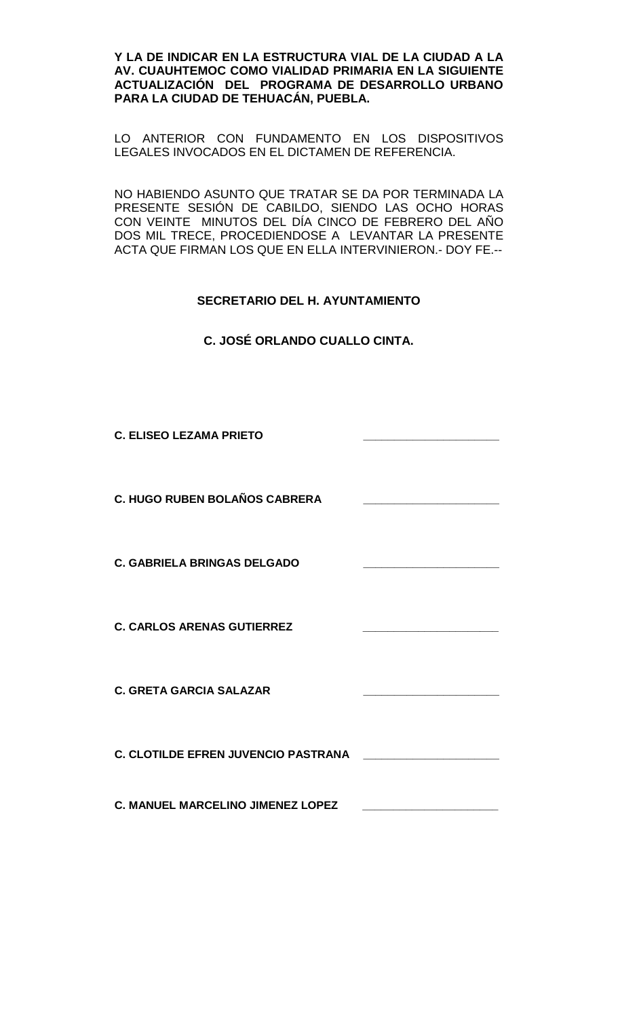**Y LA DE INDICAR EN LA ESTRUCTURA VIAL DE LA CIUDAD A LA AV. CUAUHTEMOC COMO VIALIDAD PRIMARIA EN LA SIGUIENTE ACTUALIZACIÓN DEL PROGRAMA DE DESARROLLO URBANO PARA LA CIUDAD DE TEHUACÁN, PUEBLA.**

LO ANTERIOR CON FUNDAMENTO EN LOS DISPOSITIVOS LEGALES INVOCADOS EN EL DICTAMEN DE REFERENCIA.

NO HABIENDO ASUNTO QUE TRATAR SE DA POR TERMINADA LA PRESENTE SESIÓN DE CABILDO, SIENDO LAS OCHO HORAS CON VEINTE MINUTOS DEL DÍA CINCO DE FEBRERO DEL AÑO DOS MIL TRECE, PROCEDIENDOSE A LEVANTAR LA PRESENTE ACTA QUE FIRMAN LOS QUE EN ELLA INTERVINIERON.- DOY FE.--

## **SECRETARIO DEL H. AYUNTAMIENTO**

**C. JOSÉ ORLANDO CUALLO CINTA.**

**C. ELISEO LEZAMA PRIETO \_\_\_\_\_\_\_\_\_\_\_\_\_\_\_\_\_\_\_\_\_\_**

**C. HUGO RUBEN BOLAÑOS CABRERA \_\_\_\_\_\_\_\_\_\_\_\_\_\_\_\_\_\_\_\_\_\_**

**C. GABRIELA BRINGAS DELGADO** 

**C. CARLOS ARENAS GUTIERREZ \_\_\_\_\_\_\_\_\_\_\_\_\_\_\_\_\_\_\_\_\_\_**

**C. GRETA GARCIA SALAZAR \_\_\_\_\_\_\_\_\_\_\_\_\_\_\_\_\_\_\_\_\_\_**

**C. CLOTILDE EFREN JUVENCIO PASTRANA \_\_\_\_\_\_\_\_\_\_\_\_\_\_\_\_\_\_\_\_\_\_**

**C. MANUEL MARCELINO JIMENEZ LOPEZ \_\_\_\_\_\_\_\_\_\_\_\_\_\_\_\_\_\_\_\_\_\_**